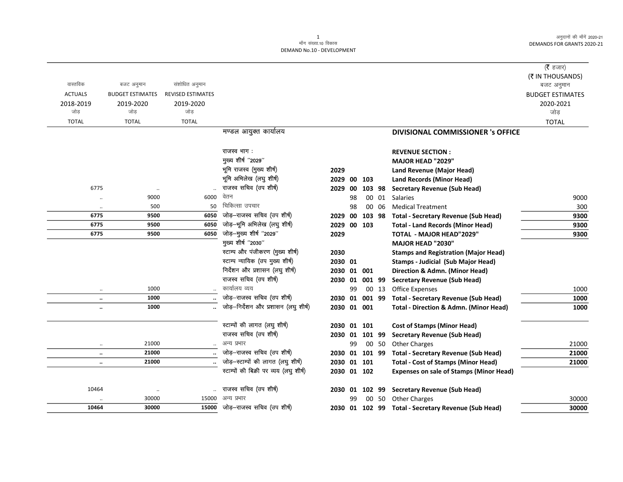| वास्तविक<br>संशोधित अनुमान<br>बजट अनुमान<br>बजट अनुमान<br><b>ACTUALS</b><br><b>REVISED ESTIMATES</b><br><b>BUDGET ESTIMATES</b><br><b>BUDGET ESTIMATES</b><br>2018-2019<br>2019-2020<br>2019-2020<br>2020-2021<br>जोड<br>जोड<br>जोड़<br>जोड<br><b>TOTAL</b><br><b>TOTAL</b><br><b>TOTAL</b><br><b>TOTAL</b><br>मण्डल आयुक्त कार्यालय<br>DIVISIONAL COMMISSIONER 's OFFICE<br>राजस्व भाग:<br><b>REVENUE SECTION:</b><br>मुख्य शीर्ष "2029"<br>MAJOR HEAD "2029"<br>भूमि राजस्व (मुख्य शीर्ष)<br>2029<br>Land Revenue (Major Head)<br>भूमि अभिलेख (लघु शीर्ष)<br>2029<br>00<br>103<br><b>Land Records (Minor Head)</b><br>राजस्व सचिव (उप शीर्ष)<br>6775<br><b>Secretary Revenue (Sub Head)</b><br>2029<br>00<br>103 98<br>$\ldots$<br>वेतन<br>6000<br>9000<br>00 01<br>Salaries<br>9000<br>98<br>$\ddotsc$<br>चिकित्सा उपचार<br>500<br>50<br>98<br><b>Medical Treatment</b><br>300<br>00 06<br>$\ddotsc$<br>जोड़-राजस्व सचिव (उप शीर्ष)<br>6775<br>9500<br>9300<br>6050<br>00<br>2029<br>103 98<br><b>Total - Secretary Revenue (Sub Head)</b><br>जोड़-भूमि अभिलेख (लघु शीर्ष)<br>6050<br>6775<br>9500<br>00 103<br>9300<br>2029<br><b>Total - Land Records (Minor Head)</b><br>जोड़-मुख्य शीर्ष "2029"<br>6050<br>6775<br>9500<br>2029<br><b>TOTAL - MAJOR HEAD"2029"</b><br>9300<br>मुख्य शीर्ष "2030"<br><b>MAJOR HEAD "2030"</b><br>स्टाम्प और पंजीकरण (मुख्य शीर्ष)<br>2030<br><b>Stamps and Registration (Major Head)</b><br>स्टाम्प न्यायिक (उप मुख्य शीर्ष)<br>2030 01<br><b>Stamps - Judicial (Sub Major Head)</b><br>निर्देशन और प्रशासन (लघु शीर्ष)<br>01 001<br>Direction & Admn. (Minor Head)<br>2030<br>राजस्व सचिव (उप शीर्ष)<br>001 99<br><b>Secretary Revenue (Sub Head)</b><br>2030<br>01<br>कार्यालय व्यय<br>1000<br>Office Expenses<br>99<br>00 13<br>1000<br>जोड़-राजस्व सचिव (उप शीर्ष)<br>1000<br><b>Total - Secretary Revenue (Sub Head)</b><br>1000<br>2030 01 001 99<br>$\ldots$<br>जोड़-निर्देशन और प्रशासन (लघु शीर्ष)<br>1000<br>2030 01 001<br>1000<br><b>Total - Direction &amp; Admn. (Minor Head)</b><br>$\ddotsc$<br>स्टाम्पों की लागत (लघु शीर्ष)<br>2030 01 101<br><b>Cost of Stamps (Minor Head)</b><br>राजस्व सचिव (उप शीर्ष)<br>2030 01 101 99<br><b>Secretary Revenue (Sub Head)</b><br>अन्य प्रभार<br>21000<br>99<br>00 50<br><b>Other Charges</b><br>21000<br>$\ddotsc$<br>जोड़-राजस्व सचिव (उप शीर्ष)<br>21000<br>2030 01 101 99<br><b>Total - Secretary Revenue (Sub Head)</b><br>21000<br>$\ldots$<br>जोड़-स्टाम्पों की लागत (लघु शीर्ष)<br>21000<br>2030 01 101<br><b>Total - Cost of Stamps (Minor Head)</b><br>21000<br>$\ldots$<br>स्टाम्पों की बिक्री पर व्यय (लघु शीर्ष)<br>2030 01 102<br><b>Expenses on sale of Stamps (Minor Head)</b><br>राजस्व सचिव (उप शीर्ष)<br>10464<br>102 99<br><b>Secretary Revenue (Sub Head)</b><br>2030 01<br>$\cdot\cdot$<br>अन्य प्रभार<br>30000<br>15000<br>00 50 Other Charges<br>30000<br>99 |  |  |  |  | ( $\bar{\tau}$ हजार)<br>(₹ IN THOUSANDS) |
|-----------------------------------------------------------------------------------------------------------------------------------------------------------------------------------------------------------------------------------------------------------------------------------------------------------------------------------------------------------------------------------------------------------------------------------------------------------------------------------------------------------------------------------------------------------------------------------------------------------------------------------------------------------------------------------------------------------------------------------------------------------------------------------------------------------------------------------------------------------------------------------------------------------------------------------------------------------------------------------------------------------------------------------------------------------------------------------------------------------------------------------------------------------------------------------------------------------------------------------------------------------------------------------------------------------------------------------------------------------------------------------------------------------------------------------------------------------------------------------------------------------------------------------------------------------------------------------------------------------------------------------------------------------------------------------------------------------------------------------------------------------------------------------------------------------------------------------------------------------------------------------------------------------------------------------------------------------------------------------------------------------------------------------------------------------------------------------------------------------------------------------------------------------------------------------------------------------------------------------------------------------------------------------------------------------------------------------------------------------------------------------------------------------------------------------------------------------------------------------------------------------------------------------------------------------------------------------------------------------------------------------------------------------------------------------------------------------------------------------------------------------------------------------------------------------------------------------------------------------------------------------|--|--|--|--|------------------------------------------|
|                                                                                                                                                                                                                                                                                                                                                                                                                                                                                                                                                                                                                                                                                                                                                                                                                                                                                                                                                                                                                                                                                                                                                                                                                                                                                                                                                                                                                                                                                                                                                                                                                                                                                                                                                                                                                                                                                                                                                                                                                                                                                                                                                                                                                                                                                                                                                                                                                                                                                                                                                                                                                                                                                                                                                                                                                                                                                   |  |  |  |  |                                          |
|                                                                                                                                                                                                                                                                                                                                                                                                                                                                                                                                                                                                                                                                                                                                                                                                                                                                                                                                                                                                                                                                                                                                                                                                                                                                                                                                                                                                                                                                                                                                                                                                                                                                                                                                                                                                                                                                                                                                                                                                                                                                                                                                                                                                                                                                                                                                                                                                                                                                                                                                                                                                                                                                                                                                                                                                                                                                                   |  |  |  |  |                                          |
|                                                                                                                                                                                                                                                                                                                                                                                                                                                                                                                                                                                                                                                                                                                                                                                                                                                                                                                                                                                                                                                                                                                                                                                                                                                                                                                                                                                                                                                                                                                                                                                                                                                                                                                                                                                                                                                                                                                                                                                                                                                                                                                                                                                                                                                                                                                                                                                                                                                                                                                                                                                                                                                                                                                                                                                                                                                                                   |  |  |  |  |                                          |
|                                                                                                                                                                                                                                                                                                                                                                                                                                                                                                                                                                                                                                                                                                                                                                                                                                                                                                                                                                                                                                                                                                                                                                                                                                                                                                                                                                                                                                                                                                                                                                                                                                                                                                                                                                                                                                                                                                                                                                                                                                                                                                                                                                                                                                                                                                                                                                                                                                                                                                                                                                                                                                                                                                                                                                                                                                                                                   |  |  |  |  |                                          |
|                                                                                                                                                                                                                                                                                                                                                                                                                                                                                                                                                                                                                                                                                                                                                                                                                                                                                                                                                                                                                                                                                                                                                                                                                                                                                                                                                                                                                                                                                                                                                                                                                                                                                                                                                                                                                                                                                                                                                                                                                                                                                                                                                                                                                                                                                                                                                                                                                                                                                                                                                                                                                                                                                                                                                                                                                                                                                   |  |  |  |  |                                          |
|                                                                                                                                                                                                                                                                                                                                                                                                                                                                                                                                                                                                                                                                                                                                                                                                                                                                                                                                                                                                                                                                                                                                                                                                                                                                                                                                                                                                                                                                                                                                                                                                                                                                                                                                                                                                                                                                                                                                                                                                                                                                                                                                                                                                                                                                                                                                                                                                                                                                                                                                                                                                                                                                                                                                                                                                                                                                                   |  |  |  |  |                                          |
|                                                                                                                                                                                                                                                                                                                                                                                                                                                                                                                                                                                                                                                                                                                                                                                                                                                                                                                                                                                                                                                                                                                                                                                                                                                                                                                                                                                                                                                                                                                                                                                                                                                                                                                                                                                                                                                                                                                                                                                                                                                                                                                                                                                                                                                                                                                                                                                                                                                                                                                                                                                                                                                                                                                                                                                                                                                                                   |  |  |  |  |                                          |
|                                                                                                                                                                                                                                                                                                                                                                                                                                                                                                                                                                                                                                                                                                                                                                                                                                                                                                                                                                                                                                                                                                                                                                                                                                                                                                                                                                                                                                                                                                                                                                                                                                                                                                                                                                                                                                                                                                                                                                                                                                                                                                                                                                                                                                                                                                                                                                                                                                                                                                                                                                                                                                                                                                                                                                                                                                                                                   |  |  |  |  |                                          |
|                                                                                                                                                                                                                                                                                                                                                                                                                                                                                                                                                                                                                                                                                                                                                                                                                                                                                                                                                                                                                                                                                                                                                                                                                                                                                                                                                                                                                                                                                                                                                                                                                                                                                                                                                                                                                                                                                                                                                                                                                                                                                                                                                                                                                                                                                                                                                                                                                                                                                                                                                                                                                                                                                                                                                                                                                                                                                   |  |  |  |  |                                          |
|                                                                                                                                                                                                                                                                                                                                                                                                                                                                                                                                                                                                                                                                                                                                                                                                                                                                                                                                                                                                                                                                                                                                                                                                                                                                                                                                                                                                                                                                                                                                                                                                                                                                                                                                                                                                                                                                                                                                                                                                                                                                                                                                                                                                                                                                                                                                                                                                                                                                                                                                                                                                                                                                                                                                                                                                                                                                                   |  |  |  |  |                                          |
|                                                                                                                                                                                                                                                                                                                                                                                                                                                                                                                                                                                                                                                                                                                                                                                                                                                                                                                                                                                                                                                                                                                                                                                                                                                                                                                                                                                                                                                                                                                                                                                                                                                                                                                                                                                                                                                                                                                                                                                                                                                                                                                                                                                                                                                                                                                                                                                                                                                                                                                                                                                                                                                                                                                                                                                                                                                                                   |  |  |  |  |                                          |
|                                                                                                                                                                                                                                                                                                                                                                                                                                                                                                                                                                                                                                                                                                                                                                                                                                                                                                                                                                                                                                                                                                                                                                                                                                                                                                                                                                                                                                                                                                                                                                                                                                                                                                                                                                                                                                                                                                                                                                                                                                                                                                                                                                                                                                                                                                                                                                                                                                                                                                                                                                                                                                                                                                                                                                                                                                                                                   |  |  |  |  |                                          |
|                                                                                                                                                                                                                                                                                                                                                                                                                                                                                                                                                                                                                                                                                                                                                                                                                                                                                                                                                                                                                                                                                                                                                                                                                                                                                                                                                                                                                                                                                                                                                                                                                                                                                                                                                                                                                                                                                                                                                                                                                                                                                                                                                                                                                                                                                                                                                                                                                                                                                                                                                                                                                                                                                                                                                                                                                                                                                   |  |  |  |  |                                          |
|                                                                                                                                                                                                                                                                                                                                                                                                                                                                                                                                                                                                                                                                                                                                                                                                                                                                                                                                                                                                                                                                                                                                                                                                                                                                                                                                                                                                                                                                                                                                                                                                                                                                                                                                                                                                                                                                                                                                                                                                                                                                                                                                                                                                                                                                                                                                                                                                                                                                                                                                                                                                                                                                                                                                                                                                                                                                                   |  |  |  |  |                                          |
|                                                                                                                                                                                                                                                                                                                                                                                                                                                                                                                                                                                                                                                                                                                                                                                                                                                                                                                                                                                                                                                                                                                                                                                                                                                                                                                                                                                                                                                                                                                                                                                                                                                                                                                                                                                                                                                                                                                                                                                                                                                                                                                                                                                                                                                                                                                                                                                                                                                                                                                                                                                                                                                                                                                                                                                                                                                                                   |  |  |  |  |                                          |
|                                                                                                                                                                                                                                                                                                                                                                                                                                                                                                                                                                                                                                                                                                                                                                                                                                                                                                                                                                                                                                                                                                                                                                                                                                                                                                                                                                                                                                                                                                                                                                                                                                                                                                                                                                                                                                                                                                                                                                                                                                                                                                                                                                                                                                                                                                                                                                                                                                                                                                                                                                                                                                                                                                                                                                                                                                                                                   |  |  |  |  |                                          |
|                                                                                                                                                                                                                                                                                                                                                                                                                                                                                                                                                                                                                                                                                                                                                                                                                                                                                                                                                                                                                                                                                                                                                                                                                                                                                                                                                                                                                                                                                                                                                                                                                                                                                                                                                                                                                                                                                                                                                                                                                                                                                                                                                                                                                                                                                                                                                                                                                                                                                                                                                                                                                                                                                                                                                                                                                                                                                   |  |  |  |  |                                          |
|                                                                                                                                                                                                                                                                                                                                                                                                                                                                                                                                                                                                                                                                                                                                                                                                                                                                                                                                                                                                                                                                                                                                                                                                                                                                                                                                                                                                                                                                                                                                                                                                                                                                                                                                                                                                                                                                                                                                                                                                                                                                                                                                                                                                                                                                                                                                                                                                                                                                                                                                                                                                                                                                                                                                                                                                                                                                                   |  |  |  |  |                                          |
|                                                                                                                                                                                                                                                                                                                                                                                                                                                                                                                                                                                                                                                                                                                                                                                                                                                                                                                                                                                                                                                                                                                                                                                                                                                                                                                                                                                                                                                                                                                                                                                                                                                                                                                                                                                                                                                                                                                                                                                                                                                                                                                                                                                                                                                                                                                                                                                                                                                                                                                                                                                                                                                                                                                                                                                                                                                                                   |  |  |  |  |                                          |
|                                                                                                                                                                                                                                                                                                                                                                                                                                                                                                                                                                                                                                                                                                                                                                                                                                                                                                                                                                                                                                                                                                                                                                                                                                                                                                                                                                                                                                                                                                                                                                                                                                                                                                                                                                                                                                                                                                                                                                                                                                                                                                                                                                                                                                                                                                                                                                                                                                                                                                                                                                                                                                                                                                                                                                                                                                                                                   |  |  |  |  |                                          |
|                                                                                                                                                                                                                                                                                                                                                                                                                                                                                                                                                                                                                                                                                                                                                                                                                                                                                                                                                                                                                                                                                                                                                                                                                                                                                                                                                                                                                                                                                                                                                                                                                                                                                                                                                                                                                                                                                                                                                                                                                                                                                                                                                                                                                                                                                                                                                                                                                                                                                                                                                                                                                                                                                                                                                                                                                                                                                   |  |  |  |  |                                          |
|                                                                                                                                                                                                                                                                                                                                                                                                                                                                                                                                                                                                                                                                                                                                                                                                                                                                                                                                                                                                                                                                                                                                                                                                                                                                                                                                                                                                                                                                                                                                                                                                                                                                                                                                                                                                                                                                                                                                                                                                                                                                                                                                                                                                                                                                                                                                                                                                                                                                                                                                                                                                                                                                                                                                                                                                                                                                                   |  |  |  |  |                                          |
|                                                                                                                                                                                                                                                                                                                                                                                                                                                                                                                                                                                                                                                                                                                                                                                                                                                                                                                                                                                                                                                                                                                                                                                                                                                                                                                                                                                                                                                                                                                                                                                                                                                                                                                                                                                                                                                                                                                                                                                                                                                                                                                                                                                                                                                                                                                                                                                                                                                                                                                                                                                                                                                                                                                                                                                                                                                                                   |  |  |  |  |                                          |
|                                                                                                                                                                                                                                                                                                                                                                                                                                                                                                                                                                                                                                                                                                                                                                                                                                                                                                                                                                                                                                                                                                                                                                                                                                                                                                                                                                                                                                                                                                                                                                                                                                                                                                                                                                                                                                                                                                                                                                                                                                                                                                                                                                                                                                                                                                                                                                                                                                                                                                                                                                                                                                                                                                                                                                                                                                                                                   |  |  |  |  |                                          |
|                                                                                                                                                                                                                                                                                                                                                                                                                                                                                                                                                                                                                                                                                                                                                                                                                                                                                                                                                                                                                                                                                                                                                                                                                                                                                                                                                                                                                                                                                                                                                                                                                                                                                                                                                                                                                                                                                                                                                                                                                                                                                                                                                                                                                                                                                                                                                                                                                                                                                                                                                                                                                                                                                                                                                                                                                                                                                   |  |  |  |  |                                          |
|                                                                                                                                                                                                                                                                                                                                                                                                                                                                                                                                                                                                                                                                                                                                                                                                                                                                                                                                                                                                                                                                                                                                                                                                                                                                                                                                                                                                                                                                                                                                                                                                                                                                                                                                                                                                                                                                                                                                                                                                                                                                                                                                                                                                                                                                                                                                                                                                                                                                                                                                                                                                                                                                                                                                                                                                                                                                                   |  |  |  |  |                                          |
|                                                                                                                                                                                                                                                                                                                                                                                                                                                                                                                                                                                                                                                                                                                                                                                                                                                                                                                                                                                                                                                                                                                                                                                                                                                                                                                                                                                                                                                                                                                                                                                                                                                                                                                                                                                                                                                                                                                                                                                                                                                                                                                                                                                                                                                                                                                                                                                                                                                                                                                                                                                                                                                                                                                                                                                                                                                                                   |  |  |  |  |                                          |
|                                                                                                                                                                                                                                                                                                                                                                                                                                                                                                                                                                                                                                                                                                                                                                                                                                                                                                                                                                                                                                                                                                                                                                                                                                                                                                                                                                                                                                                                                                                                                                                                                                                                                                                                                                                                                                                                                                                                                                                                                                                                                                                                                                                                                                                                                                                                                                                                                                                                                                                                                                                                                                                                                                                                                                                                                                                                                   |  |  |  |  |                                          |
|                                                                                                                                                                                                                                                                                                                                                                                                                                                                                                                                                                                                                                                                                                                                                                                                                                                                                                                                                                                                                                                                                                                                                                                                                                                                                                                                                                                                                                                                                                                                                                                                                                                                                                                                                                                                                                                                                                                                                                                                                                                                                                                                                                                                                                                                                                                                                                                                                                                                                                                                                                                                                                                                                                                                                                                                                                                                                   |  |  |  |  |                                          |
|                                                                                                                                                                                                                                                                                                                                                                                                                                                                                                                                                                                                                                                                                                                                                                                                                                                                                                                                                                                                                                                                                                                                                                                                                                                                                                                                                                                                                                                                                                                                                                                                                                                                                                                                                                                                                                                                                                                                                                                                                                                                                                                                                                                                                                                                                                                                                                                                                                                                                                                                                                                                                                                                                                                                                                                                                                                                                   |  |  |  |  |                                          |
|                                                                                                                                                                                                                                                                                                                                                                                                                                                                                                                                                                                                                                                                                                                                                                                                                                                                                                                                                                                                                                                                                                                                                                                                                                                                                                                                                                                                                                                                                                                                                                                                                                                                                                                                                                                                                                                                                                                                                                                                                                                                                                                                                                                                                                                                                                                                                                                                                                                                                                                                                                                                                                                                                                                                                                                                                                                                                   |  |  |  |  |                                          |
|                                                                                                                                                                                                                                                                                                                                                                                                                                                                                                                                                                                                                                                                                                                                                                                                                                                                                                                                                                                                                                                                                                                                                                                                                                                                                                                                                                                                                                                                                                                                                                                                                                                                                                                                                                                                                                                                                                                                                                                                                                                                                                                                                                                                                                                                                                                                                                                                                                                                                                                                                                                                                                                                                                                                                                                                                                                                                   |  |  |  |  |                                          |
|                                                                                                                                                                                                                                                                                                                                                                                                                                                                                                                                                                                                                                                                                                                                                                                                                                                                                                                                                                                                                                                                                                                                                                                                                                                                                                                                                                                                                                                                                                                                                                                                                                                                                                                                                                                                                                                                                                                                                                                                                                                                                                                                                                                                                                                                                                                                                                                                                                                                                                                                                                                                                                                                                                                                                                                                                                                                                   |  |  |  |  |                                          |
| जोड़–राजस्व सचिव (उप शीर्ष)<br>10464<br>30000<br>15000<br>30000<br>2030 01 102 99 Total - Secretary Revenue (Sub Head)                                                                                                                                                                                                                                                                                                                                                                                                                                                                                                                                                                                                                                                                                                                                                                                                                                                                                                                                                                                                                                                                                                                                                                                                                                                                                                                                                                                                                                                                                                                                                                                                                                                                                                                                                                                                                                                                                                                                                                                                                                                                                                                                                                                                                                                                                                                                                                                                                                                                                                                                                                                                                                                                                                                                                            |  |  |  |  |                                          |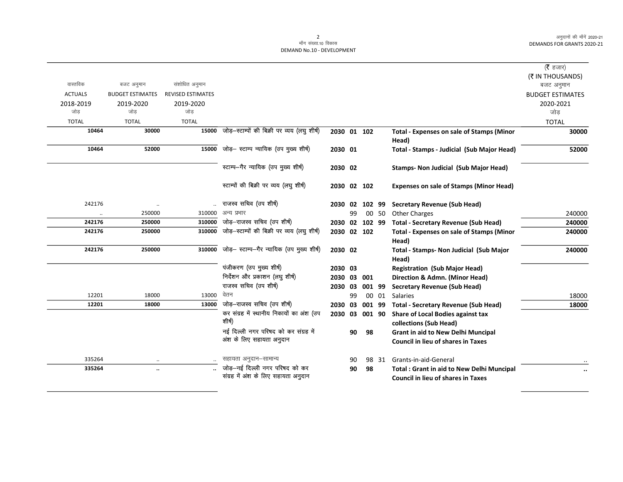|                                           |                          |                                              |             |    |        |       |                                                           | ( $\bar{\tau}$ हजार)                  |
|-------------------------------------------|--------------------------|----------------------------------------------|-------------|----|--------|-------|-----------------------------------------------------------|---------------------------------------|
|                                           |                          |                                              |             |    |        |       |                                                           |                                       |
| वास्तविक<br>बजट अनुमान                    | संशोधित अनुमान           |                                              |             |    |        |       |                                                           | (₹ IN THOUSANDS)                      |
| <b>ACTUALS</b><br><b>BUDGET ESTIMATES</b> | <b>REVISED ESTIMATES</b> |                                              |             |    |        |       |                                                           | बजट अनुमान<br><b>BUDGET ESTIMATES</b> |
| 2018-2019<br>2019-2020                    | 2019-2020                |                                              |             |    |        |       |                                                           | 2020-2021                             |
| जोड<br>जोड                                | जोड                      |                                              |             |    |        |       |                                                           | जोड                                   |
| <b>TOTAL</b><br><b>TOTAL</b>              | <b>TOTAL</b>             |                                              |             |    |        |       |                                                           | <b>TOTAL</b>                          |
| 10464                                     | 15000<br>30000           | जोड़-स्टाम्पों की बिक्री पर व्यय (लघु शीर्ष) | 2030 01 102 |    |        |       | <b>Total - Expenses on sale of Stamps (Minor</b><br>Head) | 30000                                 |
| 10464                                     | 52000<br>15000           | जोड़- स्टाम्प न्यायिक (उप मुख्य शीर्ष)       | 2030 01     |    |        |       | Total - Stamps - Judicial (Sub Major Head)                | 52000                                 |
|                                           |                          | स्टाम्प-गैर न्यायिक (उप मुख्य शीर्ष)         | 2030 02     |    |        |       | <b>Stamps- Non Judicial (Sub Major Head)</b>              |                                       |
|                                           |                          | स्टाम्पों की बिक्री पर व्यय (लघु शीर्ष)      | 2030 02 102 |    |        |       | <b>Expenses on sale of Stamps (Minor Head)</b>            |                                       |
| 242176                                    |                          | राजस्व सचिव (उप शीर्ष)                       | 2030 02     |    | 102 99 |       | Secretary Revenue (Sub Head)                              |                                       |
| 250000<br>$\ddotsc$                       | 310000                   | अन्य प्रभार                                  |             | 99 |        | 00 50 | <b>Other Charges</b>                                      | 240000                                |
| 242176<br>250000                          | 310000                   | जोड़-राजस्व सचिव (उप शीर्ष)                  | 2030 02     |    | 102 99 |       | <b>Total - Secretary Revenue (Sub Head)</b>               | 240000                                |
| 242176<br>250000                          | 310000                   | जोड़-स्टाम्पों की बिक्री पर व्यय (लघु शीर्ष) | 2030        |    | 02 102 |       | <b>Total - Expenses on sale of Stamps (Minor</b><br>Head) | 240000                                |
| 242176<br>250000                          | 310000                   | जोड़- स्टाम्प-गैर न्यायिक (उप मुख्य शीर्ष)   | 2030 02     |    |        |       | Total - Stamps- Non Judicial (Sub Major<br>Head)          | 240000                                |
|                                           |                          | पंजीकरण (उप मुख्य शीर्ष)                     | 2030 03     |    |        |       | <b>Registration (Sub Major Head)</b>                      |                                       |
|                                           |                          | निर्देशन और प्रकाशन (लघु शीर्ष)              | 2030        | 03 | 001    |       | Direction & Admn. (Minor Head)                            |                                       |
|                                           |                          | राजस्व सचिव (उप शीर्ष)                       | 2030        | 03 | 001 99 |       | <b>Secretary Revenue (Sub Head)</b>                       |                                       |
| 12201                                     | 18000<br>13000           | वेतन                                         |             | 99 |        | 00 01 | Salaries                                                  | 18000                                 |
| 12201                                     | 18000<br>13000           | जोड़-राजस्व सचिव (उप शीर्ष)                  | 2030 03     |    | 001 99 |       | <b>Total - Secretary Revenue (Sub Head)</b>               | 18000                                 |
|                                           |                          | कर संग्रह में स्थानीय निकायों का अंश (उप     | 2030        | 03 | 001 90 |       | Share of Local Bodies against tax                         |                                       |
|                                           |                          | शीर्ष)                                       |             |    |        |       | collections (Sub Head)                                    |                                       |
|                                           |                          | नई दिल्ली नगर परिषद को कर संग्रह में         |             | 90 | 98     |       | <b>Grant in aid to New Delhi Muncipal</b>                 |                                       |
|                                           |                          | अंश के लिए सहायता अनुदान                     |             |    |        |       | <b>Council in lieu of shares in Taxes</b>                 |                                       |
| 335264                                    | $\cdot\cdot$             | सहायता अनुदान-सामान्य                        |             | 90 |        | 98 31 | Grants-in-aid-General                                     |                                       |
| 335264                                    | $\ldots$                 | जोड़-नई दिल्ली नगर परिषद को कर               |             | 90 | 98     |       | <b>Total: Grant in aid to New Delhi Muncipal</b>          | $\ddot{\phantom{a}}$                  |
|                                           |                          | संग्रह में अंश के लिए सहायता अनुदान          |             |    |        |       | <b>Council in lieu of shares in Taxes</b>                 |                                       |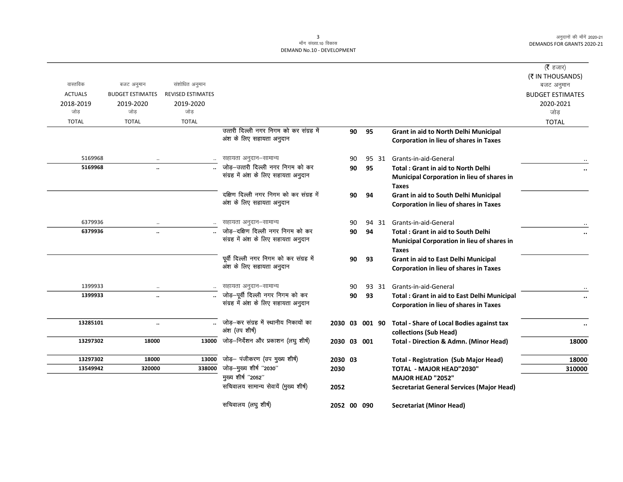|                    |                         |                          |                                                            |                |    |    |       |                                                    | ( <b>रै</b> हजार)       |
|--------------------|-------------------------|--------------------------|------------------------------------------------------------|----------------|----|----|-------|----------------------------------------------------|-------------------------|
|                    |                         |                          |                                                            |                |    |    |       |                                                    | (₹ IN THOUSANDS)        |
| वास्तविक           | बजट अनुमान              | संशोधित अनुमान           |                                                            |                |    |    |       |                                                    | बजट अनुमान              |
| <b>ACTUALS</b>     | <b>BUDGET ESTIMATES</b> | <b>REVISED ESTIMATES</b> |                                                            |                |    |    |       |                                                    | <b>BUDGET ESTIMATES</b> |
| 2018-2019          | 2019-2020               | 2019-2020                |                                                            |                |    |    |       |                                                    | 2020-2021               |
| जोड                | जोड                     | जोड                      |                                                            |                |    |    |       |                                                    | जोड                     |
| <b>TOTAL</b>       | <b>TOTAL</b>            | <b>TOTAL</b>             |                                                            |                |    |    |       |                                                    | <b>TOTAL</b>            |
|                    |                         |                          | उत्तरी दिल्ली नगर निगम को कर संग्रह में                    |                | 90 | 95 |       | Grant in aid to North Delhi Municipal              |                         |
|                    |                         |                          | अंश के लिए सहायता अनुदान                                   |                |    |    |       | Corporation in lieu of shares in Taxes             |                         |
| 5169968            | $\ddotsc$               | $\ddotsc$                | सहायता अनुदान–सामान्य                                      |                | 90 |    | 95 31 | Grants-in-aid-General                              |                         |
| 5169968            | $\ddot{\phantom{a}}$    |                          | जोड़-उत्तरी दिल्ली नगर निगम को कर                          |                | 90 | 95 |       | <b>Total: Grant in aid to North Delhi</b>          |                         |
|                    |                         |                          | संग्रह में अंश के लिए सहायता अनुदान                        |                |    |    |       | Municipal Corporation in lieu of shares in         | $\ddot{\phantom{0}}$    |
|                    |                         |                          |                                                            |                |    |    |       | <b>Taxes</b>                                       |                         |
|                    |                         |                          | दक्षिण दिल्ली नगर निगम को कर संग्रह में                    |                | 90 | 94 |       | Grant in aid to South Delhi Municipal              |                         |
|                    |                         |                          | अंश के लिए सहायता अनुदान                                   |                |    |    |       | Corporation in lieu of shares in Taxes             |                         |
|                    |                         |                          |                                                            |                |    |    |       |                                                    |                         |
| 6379936            | $\cdot$ .               |                          | सहायता अनुदान–सामान्य                                      |                | 90 |    | 94 31 | Grants-in-aid-General                              |                         |
| 6379936            |                         |                          | जोड़-दक्षिण दिल्ली नगर निगम को कर                          |                | 90 | 94 |       | <b>Total: Grant in aid to South Delhi</b>          | $\ddot{\phantom{0}}$    |
|                    |                         |                          | संग्रह में अंश के लिए सहायता अनुदान                        |                |    |    |       | <b>Municipal Corporation in lieu of shares in</b>  |                         |
|                    |                         |                          |                                                            |                |    |    |       | <b>Taxes</b>                                       |                         |
|                    |                         |                          | पूर्वी दिल्ली नगर निगम को कर संग्रह में                    |                | 90 | 93 |       | Grant in aid to East Delhi Municipal               |                         |
|                    |                         |                          | अंश के लिए सहायता अनुदान                                   |                |    |    |       | <b>Corporation in lieu of shares in Taxes</b>      |                         |
|                    |                         |                          |                                                            |                |    |    |       |                                                    |                         |
| 1399933<br>1399933 | $\cdot$ .               |                          | सहायता अनुदान–सामान्य<br>जोड़-पूर्वी दिल्ली नगर निगम को कर |                | 90 |    | 93 31 | Grants-in-aid-General                              |                         |
|                    | н.                      |                          | संग्रह में अंश के लिए सहायता अनुदान                        |                | 90 | 93 |       | <b>Total: Grant in aid to East Delhi Municipal</b> | $\ddot{\phantom{0}}$    |
|                    |                         |                          |                                                            |                |    |    |       | <b>Corporation in lieu of shares in Taxes</b>      |                         |
| 13285101           |                         |                          | जोड़-कर संग्रह में स्थानीय निकायों का                      | 2030 03 001 90 |    |    |       | <b>Total - Share of Local Bodies against tax</b>   | $\ldots$                |
|                    |                         |                          | अंश (उप शीर्ष)                                             |                |    |    |       | collections (Sub Head)                             |                         |
| 13297302           | 18000                   | 13000                    | जोड़-निर्देशन और प्रकाशन (लघु शीर्ष)                       | 2030 03 001    |    |    |       | <b>Total - Direction &amp; Admn. (Minor Head)</b>  | 18000                   |
|                    |                         |                          |                                                            |                |    |    |       |                                                    |                         |
| 13297302           | 18000                   | 13000                    | जोड़- पंजीकरण (उप मुख्य शीर्ष)                             | 2030 03        |    |    |       | <b>Total - Registration (Sub Major Head)</b>       | 18000                   |
| 13549942           | 320000                  | 338000                   | जोड़-मुख्य शीर्ष "2030"                                    | 2030           |    |    |       | TOTAL - MAJOR HEAD"2030"                           | 310000                  |
|                    |                         |                          | मुख्य शीर्ष "2052"                                         |                |    |    |       | MAJOR HEAD "2052"                                  |                         |
|                    |                         |                          | सचिवालय सामान्य सेवायें (मुख्य शीर्ष)                      | 2052           |    |    |       | <b>Secretariat General Services (Major Head)</b>   |                         |
|                    |                         |                          |                                                            |                |    |    |       |                                                    |                         |
|                    |                         |                          | सचिवालय (लघु शीर्ष)                                        | 2052 00 090    |    |    |       | Secretariat (Minor Head)                           |                         |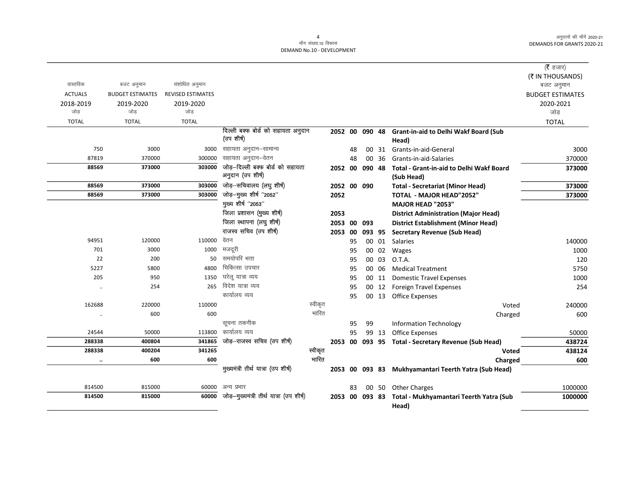|                |                         |                          |                                          |         |                |    |        |       |                                                     | ( $\bar{\tau}$ हजार)<br>(₹ IN THOUSANDS) |
|----------------|-------------------------|--------------------------|------------------------------------------|---------|----------------|----|--------|-------|-----------------------------------------------------|------------------------------------------|
| वास्तविक       | बजट अनुमान              | संशोधित अनुमान           |                                          |         |                |    |        |       |                                                     | बजट अनुमान                               |
| <b>ACTUALS</b> | <b>BUDGET ESTIMATES</b> | <b>REVISED ESTIMATES</b> |                                          |         |                |    |        |       |                                                     | <b>BUDGET ESTIMATES</b>                  |
| 2018-2019      | 2019-2020               | 2019-2020                |                                          |         |                |    |        |       |                                                     | 2020-2021                                |
| जोड            | जोड                     | जोड                      |                                          |         |                |    |        |       |                                                     | जोड़                                     |
| <b>TOTAL</b>   | <b>TOTAL</b>            | <b>TOTAL</b>             |                                          |         |                |    |        |       |                                                     | <b>TOTAL</b>                             |
|                |                         |                          | दिल्ली बक्फ बोर्ड को सहायता अनुदान       |         | 2052 00 090 48 |    |        |       | <b>Grant-in-aid to Delhi Wakf Board (Sub</b>        |                                          |
|                |                         |                          | (उप शीर्ष)                               |         |                |    |        |       | Head)                                               |                                          |
| 750            | 3000                    | 3000                     | सहायता अनुदान–सामान्य                    |         |                | 48 | 00     |       | 31 Grants-in-aid-General                            | 3000                                     |
| 87819          | 370000                  | 300000                   | सहायता अनुदान–वेतन                       |         |                | 48 | $00\,$ | 36    | Grants-in-aid-Salaries                              | 370000                                   |
| 88569          | 373000                  | 303000                   | जोड़-दिल्ली बक्फ बोर्ड को सहायता         |         | 2052 00        |    | 090 48 |       | <b>Total - Grant-in-aid to Delhi Wakf Board</b>     | 373000                                   |
|                |                         |                          | अनुदान (उप शीर्ष)                        |         |                |    |        |       | (Sub Head)                                          |                                          |
| 88569          | 373000                  | 303000                   | जोड़-सचिवालय (लघु शीर्ष)                 |         | 2052 00 090    |    |        |       | <b>Total - Secretariat (Minor Head)</b>             | 373000                                   |
| 88569          | 373000                  | 303000                   | जोड़-मुख्य शीर्ष "2052"                  |         | 2052           |    |        |       | <b>TOTAL - MAJOR HEAD"2052"</b>                     | 373000                                   |
|                |                         |                          | मुख्य शीर्ष "2053"                       |         |                |    |        |       | <b>MAJOR HEAD "2053"</b>                            |                                          |
|                |                         |                          | जिला प्रशासन (मुख्य शीर्ष)               |         | 2053           |    |        |       | <b>District Administration (Major Head)</b>         |                                          |
|                |                         |                          | जिला स्थापना (लघु शीर्ष)                 |         | 2053 00        |    | 093    |       | <b>District Establishment (Minor Head)</b>          |                                          |
|                |                         |                          | राजस्व सचिव (उप शीर्ष)                   |         | 2053 00        |    | 093 95 |       | <b>Secretary Revenue (Sub Head)</b>                 |                                          |
| 94951          | 120000                  | 110000                   | वेतन                                     |         |                | 95 |        | 00 01 | Salaries                                            | 140000                                   |
| 701            | 3000                    | 1000                     | मजदूरी                                   |         |                | 95 |        | 00 02 | Wages                                               | 1000                                     |
| 22             | 200                     | 50                       | समयोपरि भत्ता                            |         |                | 95 |        | 00 03 | O.T.A.                                              | 120                                      |
| 5227           | 5800                    | 4800                     | चिकित्सा उपचार                           |         |                | 95 |        | 00 06 | <b>Medical Treatment</b>                            | 5750                                     |
| 205            | 950                     | 1350                     | घरेल यात्रा व्यय                         |         |                | 95 |        | 00 11 | <b>Domestic Travel Expenses</b>                     | 1000                                     |
| $\ddotsc$      | 254                     | 265                      | विदेश यात्रा व्यय                        |         |                | 95 |        |       | 00 12 Foreign Travel Expenses                       | 254                                      |
|                |                         |                          | कार्यालय व्यय                            |         |                | 95 |        | 00 13 | <b>Office Expenses</b>                              |                                          |
| 162688         | 220000                  | 110000                   |                                          | स्वीकृत |                |    |        |       | Voted                                               | 240000                                   |
| $\ldots$       | 600                     | 600                      |                                          | भारित   |                |    |        |       | Charged                                             | 600                                      |
|                |                         |                          | सूचना तकनीक                              |         |                | 95 | 99     |       | <b>Information Technology</b>                       |                                          |
| 24544          | 50000                   | 113800                   | कार्यालय व्यय                            |         |                | 95 |        | 99 13 | Office Expenses                                     | 50000                                    |
| 288338         | 400804                  | 341865                   | जोड़–राजस्व सचिव (उप शीर्ष)              |         |                |    |        |       | 2053 00 093 95 Total - Secretary Revenue (Sub Head) | 438724                                   |
| 288338         | 400204                  | 341265                   |                                          | स्वीकृत |                |    |        |       | Voted                                               | 438124                                   |
| $\ddotsc$      | 600                     | 600                      |                                          | भारित   |                |    |        |       | Charged                                             | 600                                      |
|                |                         |                          | मुख्यमंत्री तीर्थ यात्रा (उप शीर्ष)      |         | 2053 00 093 83 |    |        |       | Mukhyamantari Teerth Yatra (Sub Head)               |                                          |
| 814500         | 815000                  | 60000                    | अन्य प्रभार                              |         |                | 83 |        | 00 50 | <b>Other Charges</b>                                | 1000000                                  |
| 814500         | 815000                  | 60000                    | जोड़—मुख्यमंत्री तीर्थ यात्रा (उप शीर्ष) |         | 2053 00 093 83 |    |        |       | Total - Mukhyamantari Teerth Yatra (Sub<br>Head)    | 1000000                                  |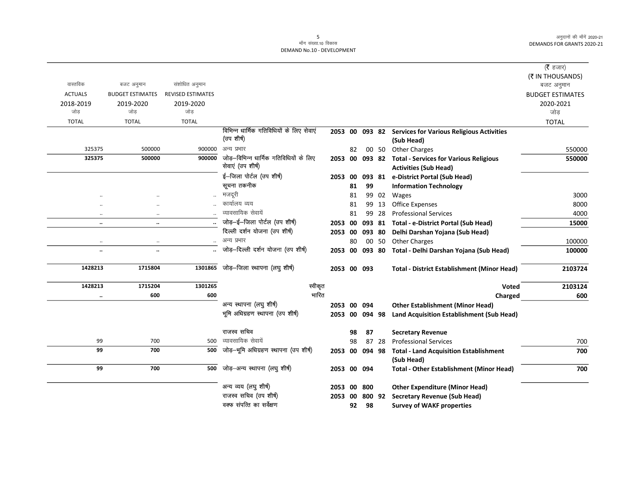$\overline{\phantom{0}}$ 

|                |                         |                          |                                          |                |    |        |       |                                                       | (रै हजार)                      |
|----------------|-------------------------|--------------------------|------------------------------------------|----------------|----|--------|-------|-------------------------------------------------------|--------------------------------|
| वास्तविक       | बजट अनुमान              | संशोधित अनुमान           |                                          |                |    |        |       |                                                       | (₹ IN THOUSANDS)<br>बजट अनुमान |
| <b>ACTUALS</b> | <b>BUDGET ESTIMATES</b> | <b>REVISED ESTIMATES</b> |                                          |                |    |        |       |                                                       | <b>BUDGET ESTIMATES</b>        |
| 2018-2019      | 2019-2020               | 2019-2020                |                                          |                |    |        |       |                                                       | 2020-2021                      |
| जोड            | जोड                     | जोड                      |                                          |                |    |        |       |                                                       | जोड़                           |
| <b>TOTAL</b>   | <b>TOTAL</b>            | <b>TOTAL</b>             |                                          |                |    |        |       |                                                       | <b>TOTAL</b>                   |
|                |                         |                          | विभिन्न धार्मिक गतिविधियों के लिए सेवाएं | 2053 00        |    | 093 82 |       | <b>Services for Various Religious Activities</b>      |                                |
|                |                         |                          | (उप शीर्ष)                               |                |    |        |       | (Sub Head)                                            |                                |
| 325375         | 500000                  | 900000                   | अन्य प्रभार                              |                | 82 |        |       | 00 50 Other Charges                                   | 550000                         |
| 325375         | 500000                  | 900000                   | जोड़–विभिन्न धार्मिक गतिविधियों के लिए   |                |    |        |       | 2053 00 093 82 Total - Services for Various Religious | 550000                         |
|                |                         |                          | सेवाएं (उप शीर्ष)                        |                |    |        |       | <b>Activities (Sub Head)</b>                          |                                |
|                |                         |                          | ई-जिला पोर्टल (उप शीर्ष)                 | 2053 00        |    |        |       | 093 81 e-District Portal (Sub Head)                   |                                |
|                |                         |                          | सूचना तकनीक                              |                | 81 | 99     |       | <b>Information Technology</b>                         |                                |
| $\cdot$        |                         |                          | मजदूरी                                   |                | 81 |        | 99 02 | Wages                                                 | 3000                           |
|                | $\ddotsc$               |                          | कार्यालय व्यय                            |                | 81 |        | 99 13 | <b>Office Expenses</b>                                | 8000                           |
| $\cdot\cdot$   | $\cdot$ .               |                          | व्यावसायिक सेवायें                       |                | 81 |        | 99 28 | <b>Professional Services</b>                          | 4000                           |
| $\ddotsc$      | $\ddot{\phantom{a}}$    |                          | जोड़-ई-जिला पोर्टल (उप शीर्ष)            | 2053 00        |    |        |       | 093 81 Total - e-District Portal (Sub Head)           | 15000                          |
|                |                         |                          | दिल्ली दर्शन योजना (उप शीर्ष)            | 2053 00        |    | 093 80 |       | Delhi Darshan Yojana (Sub Head)                       |                                |
| $\ldots$       | $\ddotsc$               | $\ddotsc$                | अन्य प्रभार                              |                | 80 |        | 00 50 | <b>Other Charges</b>                                  | 100000                         |
| $\ddotsc$      | $\ddot{\phantom{a}}$    |                          | जोड़-दिल्ली दर्शन योजना (उप शीर्ष)       | 2053 00        |    | 093 80 |       | Total - Delhi Darshan Yojana (Sub Head)               | 100000                         |
| 1428213        | 1715804                 | 1301865                  | जोड़-जिला स्थापना (लघु शीर्ष)            | 2053 00 093    |    |        |       | <b>Total - District Establishment (Minor Head)</b>    | 2103724                        |
| 1428213        | 1715204                 | 1301265                  | स्वीकृत                                  |                |    |        |       | Voted                                                 | 2103124                        |
| $\ddotsc$      | 600                     | 600                      | भारित                                    |                |    |        |       | Charged                                               | 600                            |
|                |                         |                          | अन्य स्थापना (लघु शीर्ष)                 | 2053 00 094    |    |        |       | <b>Other Establishment (Minor Head)</b>               |                                |
|                |                         |                          | भूमि अधिग्रहण स्थापना (उप शीर्ष)         | 2053 00 094 98 |    |        |       | Land Acquisition Establishment (Sub Head)             |                                |
|                |                         |                          | राजस्व सचिव                              |                | 98 | 87     |       | <b>Secretary Revenue</b>                              |                                |
| 99             | 700                     | 500                      | व्यावसायिक सेवायें                       |                | 98 |        | 87 28 | <b>Professional Services</b>                          | 700                            |
| 99             | 700                     | 500                      | जोड़-भूमि अधिग्रहण स्थापना (उप शीर्ष)    | 2053 00        |    | 094 98 |       | <b>Total - Land Acquisition Establishment</b>         | 700                            |
|                |                         |                          |                                          |                |    |        |       | (Sub Head)                                            |                                |
| 99             | 700                     | 500                      | जोड़–अन्य स्थापना (लघु शीर्ष)            | 2053 00 094    |    |        |       | <b>Total - Other Establishment (Minor Head)</b>       | 700                            |
|                |                         |                          | अन्य व्यय (लघु शीर्ष)                    | 2053           | 00 | 800    |       | <b>Other Expenditure (Minor Head)</b>                 |                                |
|                |                         |                          | राजस्व सचिव (उप शीर्ष)                   | 2053 00        |    | 800 92 |       | <b>Secretary Revenue (Sub Head)</b>                   |                                |
|                |                         |                          | वक्फ संपत्ति का सर्वेक्षण                |                | 92 | 98     |       | <b>Survey of WAKF properties</b>                      |                                |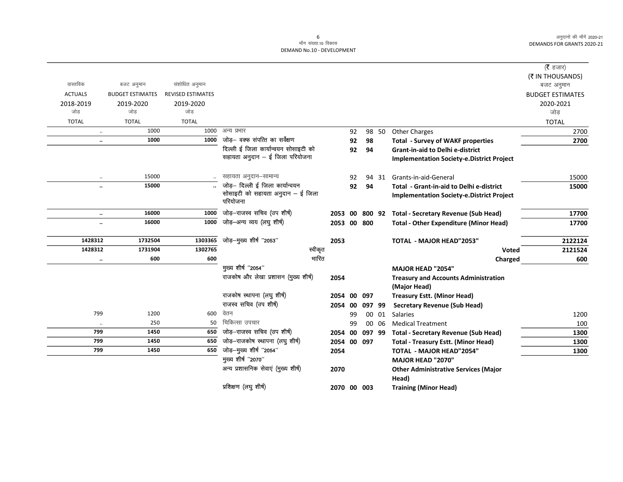$\overline{\phantom{0}}$ 

|                      |                         |                          |                                               |                |    |        |       |                                                  | ( <b>रै</b> हजार)       |
|----------------------|-------------------------|--------------------------|-----------------------------------------------|----------------|----|--------|-------|--------------------------------------------------|-------------------------|
|                      |                         |                          |                                               |                |    |        |       |                                                  | (₹ IN THOUSANDS)        |
| वास्तविक             | बजट अनुमान              | संशोधित अनुमान           |                                               |                |    |        |       |                                                  | बजट अनुमान              |
| <b>ACTUALS</b>       | <b>BUDGET ESTIMATES</b> | <b>REVISED ESTIMATES</b> |                                               |                |    |        |       |                                                  | <b>BUDGET ESTIMATES</b> |
| 2018-2019            | 2019-2020               | 2019-2020                |                                               |                |    |        |       |                                                  | 2020-2021               |
| जोड                  | जोड                     | जोड                      |                                               |                |    |        |       |                                                  | जोड                     |
| <b>TOTAL</b>         | <b>TOTAL</b>            | <b>TOTAL</b>             |                                               |                |    |        |       |                                                  | <b>TOTAL</b>            |
| $\ldots$             | 1000                    | 1000                     | अन्य प्रभार                                   |                | 92 |        | 98 50 | <b>Other Charges</b>                             | 2700                    |
| $\ldots$             | 1000                    | 1000                     | जोड़— वक्फ संपत्ति का सर्वेक्षण               |                | 92 | 98     |       | <b>Total - Survey of WAKF properties</b>         | 2700                    |
|                      |                         |                          | दिल्ली ई जिला कार्यान्वयन सोसाइटी को          |                | 92 | 94     |       | <b>Grant-in-aid to Delhi e-district</b>          |                         |
|                      |                         |                          | सहायता अनुदान - ई जिला परियोजना               |                |    |        |       | <b>Implementation Society-e.District Project</b> |                         |
| $\ldots$             | 15000                   |                          | सहायता अनुदान–सामान्य                         |                | 92 |        | 94 31 | Grants-in-aid-General                            | 15000                   |
| $\ddot{\phantom{0}}$ | 15000                   |                          | जोड़- दिल्ली ई जिला कार्यान्वयन               |                | 92 | 94     |       | Total - Grant-in-aid to Delhi e-district         | 15000                   |
|                      |                         |                          | सोसाइटी को सहायता अनुदान - ई जिला<br>परियोजना |                |    |        |       | <b>Implementation Society-e.District Project</b> |                         |
| $\ddotsc$            | 16000                   | 1000                     | जोड़-राजस्व सचिव (उप शीर्ष)                   | 2053 00 800 92 |    |        |       | <b>Total - Secretary Revenue (Sub Head)</b>      | 17700                   |
| $\ldots$             | 16000                   | 1000                     | जोड़-अन्य व्यय (लघु शीर्ष)                    | 2053 00 800    |    |        |       | <b>Total - Other Expenditure (Minor Head)</b>    | 17700                   |
| 1428312              | 1732504                 | 1303365                  | जोड़-मुख्य शीर्ष "2053"                       | 2053           |    |        |       | <b>TOTAL - MAJOR HEAD"2053"</b>                  | 2122124                 |
| 1428312              | 1731904                 | 1302765                  | स्वीकृत                                       |                |    |        |       | <b>Voted</b>                                     | 2121524                 |
| $\ldots$             | 600                     | 600                      | भारित                                         |                |    |        |       | Charged                                          | 600                     |
|                      |                         |                          | मुख्य शीर्ष "2054"                            |                |    |        |       | <b>MAJOR HEAD "2054"</b>                         |                         |
|                      |                         |                          | राजकोष और लेखा प्रशासन (मुख्य शीर्ष)          | 2054           |    |        |       | <b>Treasury and Accounts Administration</b>      |                         |
|                      |                         |                          |                                               |                |    |        |       | (Major Head)                                     |                         |
|                      |                         |                          | राजकोष स्थापना (लघु शीर्ष)                    | 2054 00        |    | 097    |       | <b>Treasury Estt. (Minor Head)</b>               |                         |
|                      |                         |                          | राजस्व सचिव (उप शीर्ष)                        | 2054 00        |    | 097 99 |       | <b>Secretary Revenue (Sub Head)</b>              |                         |
| 799                  | 1200                    | 600                      | वेतन                                          |                | 99 |        | 00 01 | <b>Salaries</b>                                  | 1200                    |
| $\ldots$             | 250                     | 50                       | चिकित्सा उपचार                                |                | 99 |        | 00 06 | <b>Medical Treatment</b>                         | 100                     |
| 799                  | 1450                    | 650                      | जोड़-राजस्व सचिव (उप शीर्ष)                   | 2054 00        |    | 097 99 |       | <b>Total - Secretary Revenue (Sub Head)</b>      | 1300                    |
| 799                  | 1450                    | 650                      | जोड़-राजकोष स्थापना (लघु शीर्ष)               | 2054 00 097    |    |        |       | <b>Total - Treasury Estt. (Minor Head)</b>       | 1300                    |
| 799                  | 1450                    | 650                      | जोड़-मुख्य शीर्ष "2054"                       | 2054           |    |        |       | <b>TOTAL - MAJOR HEAD"2054"</b>                  | 1300                    |
|                      |                         |                          | मुख्य शीर्ष "2070"                            |                |    |        |       | <b>MAJOR HEAD "2070"</b>                         |                         |
|                      |                         |                          | अन्य प्रशासनिक सेवाएं (मुख्य शीर्ष)           | 2070           |    |        |       | <b>Other Administrative Services (Major</b>      |                         |
|                      |                         |                          |                                               |                |    |        |       | Head)                                            |                         |
|                      |                         |                          | प्रशिक्षण (लघुशीर्ष)                          | 2070 00 003    |    |        |       | <b>Training (Minor Head)</b>                     |                         |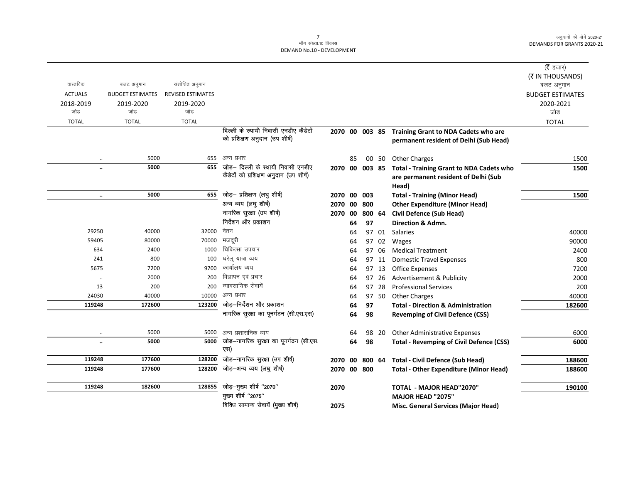|                      |                         |                          |                                         |                |    |        |        |                                                 | ( $\bar{\tau}$ हजार)    |
|----------------------|-------------------------|--------------------------|-----------------------------------------|----------------|----|--------|--------|-------------------------------------------------|-------------------------|
|                      |                         |                          |                                         |                |    |        |        |                                                 | (₹ IN THOUSANDS)        |
| वास्तविक             | बजट अनुमान              | संशोधित अनुमान           |                                         |                |    |        |        |                                                 | बजट अनुमान              |
| <b>ACTUALS</b>       | <b>BUDGET ESTIMATES</b> | <b>REVISED ESTIMATES</b> |                                         |                |    |        |        |                                                 | <b>BUDGET ESTIMATES</b> |
| 2018-2019            | 2019-2020               | 2019-2020                |                                         |                |    |        |        |                                                 | 2020-2021               |
| जोड                  | जोड                     | जोड                      |                                         |                |    |        |        |                                                 | जोड                     |
| <b>TOTAL</b>         | <b>TOTAL</b>            | <b>TOTAL</b>             |                                         |                |    |        |        |                                                 | <b>TOTAL</b>            |
|                      |                         |                          | दिल्ली के स्थायी निवासी एनडीए कैडेटों   | 2070 00 003 85 |    |        |        | Training Grant to NDA Cadets who are            |                         |
|                      |                         |                          | को प्रशिक्षण अनुदान (उप शीर्ष)          |                |    |        |        | permanent resident of Delhi (Sub Head)          |                         |
|                      |                         |                          |                                         |                |    |        |        |                                                 |                         |
|                      | 5000                    | 655                      | अन्य प्रभार                             |                | 85 |        | 00 50  | <b>Other Charges</b>                            | 1500                    |
|                      | 5000                    | 655                      | जोड़— दिल्ली के स्थायी निवासी एनडीए     | 2070 00 003 85 |    |        |        | <b>Total - Training Grant to NDA Cadets who</b> | 1500                    |
|                      |                         |                          | कैडेटों को प्रशिक्षण अनुदान (उप शीर्ष)  |                |    |        |        | are permanent resident of Delhi (Sub            |                         |
|                      |                         |                          |                                         |                |    |        |        | Head)                                           |                         |
| $\ldots$             | 5000                    | 655                      | जोड़- प्रशिक्षण (लघु शीर्ष)             | 2070 00        |    | 003    |        | <b>Total - Training (Minor Head)</b>            | 1500                    |
|                      |                         |                          | अन्य व्यय (लघु शीर्ष)                   | 2070           | 00 | 800    |        | <b>Other Expenditure (Minor Head)</b>           |                         |
|                      |                         |                          | नागरिक सुरक्षा (उप शीर्ष)               | 2070           | 00 |        | 800 64 | <b>Civil Defence (Sub Head)</b>                 |                         |
|                      |                         |                          | निर्देशन और प्रकाशन                     |                | 64 | 97     |        | <b>Direction &amp; Admn.</b>                    |                         |
| 29250                | 40000                   | 32000                    | वेतन                                    |                | 64 |        | 97 01  | Salaries                                        | 40000                   |
| 59405                | 80000                   | 70000                    | मजदूरी                                  |                | 64 |        | 97 02  | Wages                                           | 90000                   |
| 634                  | 2400                    | 1000                     | चिकित्सा उपचार                          |                | 64 |        | 97 06  | <b>Medical Treatment</b>                        | 2400                    |
| 241                  | 800                     | 100                      | घरेलु यात्रा व्यय                       |                | 64 |        | 97 11  | <b>Domestic Travel Expenses</b>                 | 800                     |
| 5675                 | 7200                    | 9700                     | कार्यालय व्यय                           |                | 64 |        | 97 13  | Office Expenses                                 | 7200                    |
| $\ddot{\phantom{0}}$ | 2000                    | 200                      | विज्ञापन एवं प्रचार                     |                | 64 |        | 97 26  | Advertisement & Publicity                       | 2000                    |
| 13                   | 200                     | 200                      | व्यावसायिक सेवायें                      |                | 64 |        | 97 28  | <b>Professional Services</b>                    | 200                     |
| 24030                | 40000                   | 10000                    | अन्य प्रभार                             |                | 64 |        | 97 50  | <b>Other Charges</b>                            | 40000                   |
| 119248               | 172600                  | 123200                   | जोड़—निर्देशन और प्रकाशन                |                | 64 | 97     |        | <b>Total - Direction &amp; Administration</b>   | 182600                  |
|                      |                         |                          | नागरिक सुरक्षा का पूनर्गठन (सी.एस.एस)   |                | 64 | 98     |        | <b>Revemping of Civil Defence (CSS)</b>         |                         |
| $\ldots$             | 5000                    | 5000                     | अन्य प्रशासनिक व्यय                     |                | 64 |        | 98 20  | <b>Other Administrative Expenses</b>            | 6000                    |
| $\ldots$             | 5000                    | 5000                     | जोड़—नागरिक सुरक्षा का पूनर्गठन (सी.एस. |                | 64 | 98     |        | <b>Total - Revemping of Civil Defence (CSS)</b> | 6000                    |
|                      |                         |                          | एस)                                     |                |    |        |        |                                                 |                         |
| 119248               | 177600                  | 128200                   | जोड़—नागरिक सुरक्षा (उप शीर्ष)          | 2070           | 00 | 800 64 |        | <b>Total - Civil Defence (Sub Head)</b>         | 188600                  |
| 119248               | 177600                  | 128200                   | जोड़-अन्य व्यय (लघु शीर्ष)              | 2070 00 800    |    |        |        | <b>Total - Other Expenditure (Minor Head)</b>   | 188600                  |
| 119248               | 182600                  | 128855                   | जोड़-मुख्य शीर्ष "2070"                 | 2070           |    |        |        | <b>TOTAL - MAJOR HEAD"2070"</b>                 | 190100                  |
|                      |                         |                          | मुख्य शीर्ष "2075"                      |                |    |        |        | <b>MAJOR HEAD "2075"</b>                        |                         |
|                      |                         |                          | विविध सामान्य सेवायें (मुख्य शीर्ष)     | 2075           |    |        |        | Misc. General Services (Major Head)             |                         |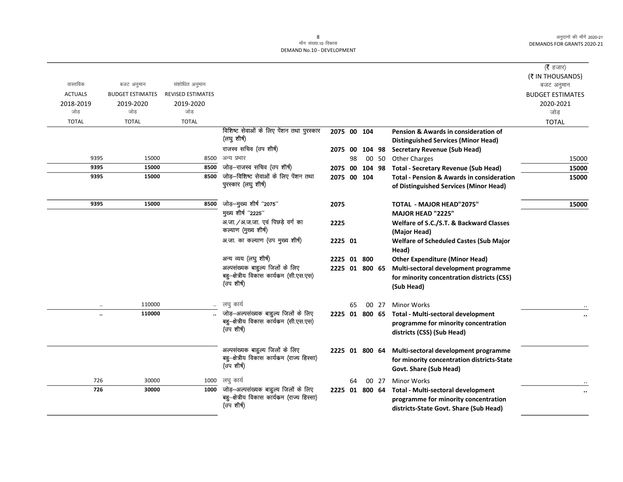|                |                         |                          |                                                   |                |    |       |                                                      | ( <b>रै</b> हजार)       |
|----------------|-------------------------|--------------------------|---------------------------------------------------|----------------|----|-------|------------------------------------------------------|-------------------------|
|                |                         |                          |                                                   |                |    |       |                                                      | (₹ IN THOUSANDS)        |
| वास्तविक       | बजट अनुमान              | संशोधित अनुमान           |                                                   |                |    |       |                                                      | बजट अनुमान              |
| <b>ACTUALS</b> | <b>BUDGET ESTIMATES</b> | <b>REVISED ESTIMATES</b> |                                                   |                |    |       |                                                      | <b>BUDGET ESTIMATES</b> |
| 2018-2019      | 2019-2020               | 2019-2020                |                                                   |                |    |       |                                                      | 2020-2021               |
| जोड़           | जोड                     | जोड                      |                                                   |                |    |       |                                                      | जोड                     |
| <b>TOTAL</b>   | <b>TOTAL</b>            | <b>TOTAL</b>             |                                                   |                |    |       |                                                      | <b>TOTAL</b>            |
|                |                         |                          | विशिष्ट सेवाओं के लिए पेंशन तथा पुरस्कार          | 2075 00 104    |    |       | Pension & Awards in consideration of                 |                         |
|                |                         |                          | (लघु शीर्ष)                                       |                |    |       | <b>Distinguished Services (Minor Head)</b>           |                         |
|                |                         |                          | राजस्व सचिव (उप शीर्ष)                            |                |    |       | 2075 00 104 98 Secretary Revenue (Sub Head)          |                         |
| 9395           | 15000                   | 8500                     | अन्य प्रभार                                       |                | 98 | 00 50 | <b>Other Charges</b>                                 | 15000                   |
| 9395           | 15000                   | 8500                     | जोड़-राजस्व सचिव (उप शीर्ष)                       | 2075 00 104 98 |    |       | <b>Total - Secretary Revenue (Sub Head)</b>          | 15000                   |
| 9395           | 15000                   | 8500                     | जोड़-विशिष्ट सेवाओं के लिए पेंशन तथा              | 2075 00 104    |    |       | <b>Total - Pension &amp; Awards in consideration</b> | 15000                   |
|                |                         |                          | पुरस्कार (लघु शीर्ष)                              |                |    |       | of Distinguished Services (Minor Head)               |                         |
|                |                         |                          |                                                   |                |    |       |                                                      |                         |
| 9395           | 15000                   | 8500                     | जोड़-मुख्य शीर्ष "2075"                           | 2075           |    |       | TOTAL - MAJOR HEAD"2075"                             | 15000                   |
|                |                         |                          | मुख्य शीर्ष "2225"                                |                |    |       | MAJOR HEAD "2225"                                    |                         |
|                |                         |                          | अ.जा. / अ.ज.जा. एवं पिछड़े वर्ग का                | 2225           |    |       | Welfare of S.C./S.T. & Backward Classes              |                         |
|                |                         |                          | कल्याण (मुख्य शीर्ष)                              |                |    |       | (Major Head)                                         |                         |
|                |                         |                          | अ.जा. का कल्याण (उप मुख्य शीर्ष)                  | 2225 01        |    |       | <b>Welfare of Scheduled Castes (Sub Major</b>        |                         |
|                |                         |                          |                                                   |                |    |       | Head)                                                |                         |
|                |                         |                          | अन्य व्यय (लघु शीर्ष)                             | 2225 01 800    |    |       | <b>Other Expenditure (Minor Head)</b>                |                         |
|                |                         |                          | अल्पसंख्यक बाहुल्य जिलों के लिए                   | 2225 01 800 65 |    |       | Multi-sectoral development programme                 |                         |
|                |                         |                          | बहु-क्षेत्रीय विकास कार्यक्रम (सी.एस.एस)          |                |    |       | for minority concentration districts (CSS)           |                         |
|                |                         |                          | (उप शीर्ष)                                        |                |    |       | (Sub Head)                                           |                         |
|                |                         |                          |                                                   |                |    |       |                                                      |                         |
|                | 110000                  |                          | लघु कार्य                                         |                | 65 | 00 27 | <b>Minor Works</b>                                   |                         |
|                | 110000                  |                          | जोड़-अल्पसंख्यक बाहुल्य जिलों के लिए              | 2225 01 800 65 |    |       | Total - Multi-sectoral development                   |                         |
|                |                         |                          | बहु-क्षेत्रीय विकास कार्यक्रम (सी.एस.एस)          |                |    |       | programme for minority concentration                 |                         |
|                |                         |                          | (उप शीर्ष)                                        |                |    |       | districts (CSS) (Sub Head)                           |                         |
|                |                         |                          |                                                   |                |    |       |                                                      |                         |
|                |                         |                          | अल्पसंख्यक बाहुल्य जिलों के लिए                   | 2225 01 800 64 |    |       | Multi-sectoral development programme                 |                         |
|                |                         |                          | बहु-क्षेत्रीय विकास कार्यक्रम (राज्य हिस्सा)      |                |    |       | for minority concentration districts-State           |                         |
|                |                         |                          | (उप शीर्ष)                                        |                |    |       | Govt. Share (Sub Head)                               |                         |
|                | 30000                   |                          |                                                   |                |    |       |                                                      |                         |
| 726<br>726     |                         | 1000                     | लघु कार्य<br>जोड़-अल्पसंख्यक बाहुल्य जिलों के लिए |                | 64 | 00 27 | <b>Minor Works</b>                                   |                         |
|                | 30000                   | 1000                     | बहु-क्षेत्रीय विकास कार्यकम (राज्य हिस्सा)        | 2225 01 800 64 |    |       | Total - Multi-sectoral development                   |                         |
|                |                         |                          | (उप शीर्ष)                                        |                |    |       | programme for minority concentration                 |                         |
|                |                         |                          |                                                   |                |    |       | districts-State Govt. Share (Sub Head)               |                         |
|                |                         |                          |                                                   |                |    |       |                                                      |                         |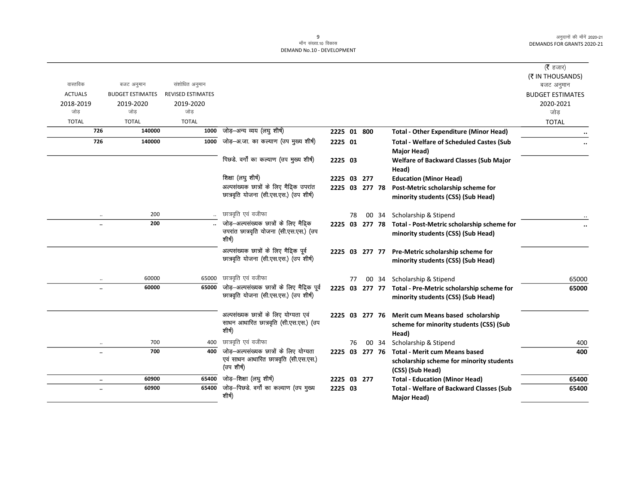| वास्तविक             | बजट अनुमान              | संशोधित अनुमान    |                                                                                               |                |    |       |                                                                                                      | ( $\bar{\tau}$ हजार)<br>(₹ IN THOUSANDS)<br>बजट अनुमान |
|----------------------|-------------------------|-------------------|-----------------------------------------------------------------------------------------------|----------------|----|-------|------------------------------------------------------------------------------------------------------|--------------------------------------------------------|
| <b>ACTUALS</b>       | <b>BUDGET ESTIMATES</b> | REVISED ESTIMATES |                                                                                               |                |    |       |                                                                                                      | <b>BUDGET ESTIMATES</b>                                |
| 2018-2019<br>जोड     | 2019-2020<br>जोड        | 2019-2020<br>जोड  |                                                                                               |                |    |       |                                                                                                      | 2020-2021<br>जोड़                                      |
| <b>TOTAL</b>         | <b>TOTAL</b>            | <b>TOTAL</b>      |                                                                                               |                |    |       |                                                                                                      | <b>TOTAL</b>                                           |
| 726                  | 140000                  | 1000              | जोड़–अन्य व्यय (लघु शीर्ष)                                                                    | 2225 01 800    |    |       | <b>Total - Other Expenditure (Minor Head)</b>                                                        |                                                        |
| 726                  | 140000                  | 1000              | जोड़—अ.जा. का कल्याण (उप मुख्य शीर्ष)                                                         | 2225 01        |    |       | <b>Total - Welfare of Scheduled Castes (Sub</b><br>Major Head)                                       |                                                        |
|                      |                         |                   | पिछडे. वर्गों का कल्याण (उप मुख्य शीर्ष)                                                      | 2225 03        |    |       | <b>Welfare of Backward Classes (Sub Major</b><br>Head)                                               |                                                        |
|                      |                         |                   | शिक्षा (लघु शीर्ष)                                                                            | 2225 03 277    |    |       | <b>Education (Minor Head)</b>                                                                        |                                                        |
|                      |                         |                   | अल्पसंख्यक छात्रों के लिए मैदिक उपरांत<br>छात्रवृति योजना (सी.एस.एस.) (उप शीर्ष)              | 2225 03 277 78 |    |       | Post-Metric scholarship scheme for<br>minority students (CSS) (Sub Head)                             |                                                        |
|                      | 200                     |                   | छात्रवृति एवं वजीफा                                                                           |                | 78 | 00 34 | Scholarship & Stipend                                                                                |                                                        |
| $\ddot{\phantom{a}}$ | 200                     |                   | जोड़-अल्पसंख्यक छात्रों के लिए मैदिक<br>उपरांत छात्रवृति योजना (सी.एस.एस.) (उप<br>शीर्ष)      |                |    |       | 2225 03 277 78 Total - Post-Metric scholarship scheme for<br>minority students (CSS) (Sub Head)      |                                                        |
|                      |                         |                   | अल्पसंख्यक छात्रों के लिए मैदिक पूर्व<br>छात्रवृति योजना (सी.एस.एस.) (उप शीर्ष)               |                |    |       | 2225 03 277 77 Pre-Metric scholarship scheme for<br>minority students (CSS) (Sub Head)               |                                                        |
|                      | 60000                   | 65000             | छात्रवृति एवं वजीफा                                                                           |                | 77 |       | 00 34 Scholarship & Stipend                                                                          | 65000                                                  |
| $\ddot{\phantom{a}}$ | 60000                   | 65000             | जोड़-अल्पसंख्यक छात्रों के लिए मैदिक पूर्व<br>छात्रवृति योजना (सी.एस.एस.) (उप शीर्ष)          |                |    |       | 2225 03 277 77 Total - Pre-Metric scholarship scheme for<br>minority students (CSS) (Sub Head)       | 65000                                                  |
|                      |                         |                   | अल्पसंख्यक छात्रों के लिए योग्यता एवं<br>साधन आधारित छात्रवृति (सी.एस.एस.) (उप<br>शीर्ष)      |                |    |       | 2225 03 277 76 Merit cum Means based scholarship<br>scheme for minority students (CSS) (Sub<br>Head) |                                                        |
|                      | 700                     | 400               | छात्रवृति एवं वजीफा                                                                           |                | 76 | 00 34 | Scholarship & Stipend                                                                                | 400                                                    |
| $\ddot{\phantom{a}}$ | 700                     | 400               | जोड़-अल्पसंख्यक छात्रों के लिए योग्यता<br>एवं साधन आधारित छात्रवृति (सी.एस.एस.)<br>(उप शीर्ष) | 2225 03 277 76 |    |       | Total - Merit cum Means based<br>scholarship scheme for minority students<br>(CSS) (Sub Head)        | 400                                                    |
| $\ddot{\phantom{a}}$ | 60900                   | 65400             | जोड़-शिक्षा (लघु शीर्ष)                                                                       | 2225 03 277    |    |       | <b>Total - Education (Minor Head)</b>                                                                | 65400                                                  |
| $\ddot{\phantom{a}}$ | 60900                   | 65400             | जोड़-पिछडे. वर्गों का कल्याण (उप मुख्य<br>शीर्ष)                                              | 2225 03        |    |       | <b>Total - Welfare of Backward Classes (Sub</b><br>Major Head)                                       | 65400                                                  |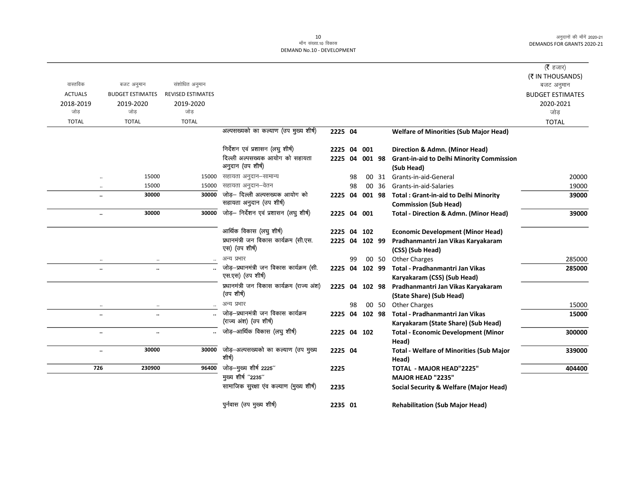| वास्तविक             |                                       | संशोधित अनुमान           |                                                                |                |    |        |       |                                                                              | ( <b>रै</b> हजार)<br>(₹ IN THOUSANDS) |
|----------------------|---------------------------------------|--------------------------|----------------------------------------------------------------|----------------|----|--------|-------|------------------------------------------------------------------------------|---------------------------------------|
| <b>ACTUALS</b>       | बजट अनुमान<br><b>BUDGET ESTIMATES</b> | <b>REVISED ESTIMATES</b> |                                                                |                |    |        |       |                                                                              | बजट अनुमान                            |
| 2018-2019            | 2019-2020                             | 2019-2020                |                                                                |                |    |        |       |                                                                              | <b>BUDGET ESTIMATES</b><br>2020-2021  |
| जोड़                 | जोड                                   | जोड़                     |                                                                |                |    |        |       |                                                                              | जोड                                   |
| <b>TOTAL</b>         | <b>TOTAL</b>                          | <b>TOTAL</b>             |                                                                |                |    |        |       |                                                                              | <b>TOTAL</b>                          |
|                      |                                       |                          | अल्पसख्यको का कल्याण (उप मुख्य शीर्ष)                          | 2225 04        |    |        |       | <b>Welfare of Minorities (Sub Major Head)</b>                                |                                       |
|                      |                                       |                          | निर्देशन एवं प्रशासन (लघु शीर्ष)                               | 2225 04 001    |    |        |       | Direction & Admn. (Minor Head)                                               |                                       |
|                      |                                       |                          | दिल्ली अल्पसख्यक आयोग को सहायता<br>अनुदान (उप शीर्ष)           | 2225 04 001 98 |    |        |       | <b>Grant-in-aid to Delhi Minority Commission</b><br>(Sub Head)               |                                       |
| $\ddot{\phantom{a}}$ | 15000                                 | 15000                    | सहायता अनुदान–सामान्य                                          |                | 98 |        |       | 00 31 Grants-in-aid-General                                                  | 20000                                 |
|                      | 15000<br>$\ldots$                     | 15000                    | सहायता अनुदान–वेतन                                             |                | 98 |        | 00 36 | Grants-in-aid-Salaries                                                       | 19000                                 |
| $\ddotsc$            | 30000                                 | 30000                    | जोड़- दिल्ली अल्पसख्यक आयोग को<br>सहायता अनुदान (उप शीर्ष)     | 2225 04        |    | 001 98 |       | <b>Total: Grant-in-aid to Delhi Minority</b><br><b>Commission (Sub Head)</b> | 39000                                 |
|                      | 30000<br>$\ddotsc$                    | 30000                    | जोड़- निर्देशन एवं प्रशासन (लघु शीर्ष)                         | 2225 04 001    |    |        |       | <b>Total - Direction &amp; Admn. (Minor Head)</b>                            | 39000                                 |
|                      |                                       |                          | आर्थिक विकास (लघु शीर्ष)                                       | 2225 04 102    |    |        |       | <b>Economic Development (Minor Head)</b>                                     |                                       |
|                      |                                       |                          | प्रधानमंत्री जन विकास कार्यक्रम (सी.एस.<br>एस) (उप शीर्ष)      | 2225 04 102 99 |    |        |       | Pradhanmantri Jan Vikas Karyakaram<br>(CSS) (Sub Head)                       |                                       |
| $\ddot{\phantom{a}}$ | $\cdot$ .                             |                          | अन्य प्रभार                                                    |                | 99 |        | 00 50 | <b>Other Charges</b>                                                         | 285000                                |
| $\ddotsc$            | $\ddotsc$                             |                          | जोड़-प्रधानमंत्री जन विकास कार्यक्रम (सी.<br>एस.एस) (उप शीर्ष) | 2225 04 102 99 |    |        |       | Total - Pradhanmantri Jan Vikas<br>Karyakaram (CSS) (Sub Head)               | 285000                                |
|                      |                                       |                          | प्रधानमंत्री जन विकास कार्यक्रम (राज्य अंश)<br>(उप शीर्ष)      | 2225 04 102 98 |    |        |       | Pradhanmantri Jan Vikas Karyakaram<br>(State Share) (Sub Head)               |                                       |
|                      |                                       |                          | अन्य प्रभार                                                    |                | 98 |        | 00 50 | <b>Other Charges</b>                                                         | 15000                                 |
| $\ddotsc$            | $\ddotsc$                             |                          | जोड़-प्रधानमंत्री जन विकास कार्यक्रम<br>(राज्य अंश) (उप शीर्ष) | 2225 04 102 98 |    |        |       | Total - Pradhanmantri Jan Vikas<br>Karyakaram (State Share) (Sub Head)       | 15000                                 |
| $\ddot{\phantom{a}}$ |                                       |                          | जोड़-आर्थिक विकास (लघु शीर्ष)                                  | 2225 04 102    |    |        |       | <b>Total - Economic Development (Minor</b><br>Head)                          | 300000                                |
| $\ddotsc$            | 30000                                 | 30000                    | जोड़-अल्पसख्यको का कल्याण (उप मुख्य<br>शीर्ष)                  | 2225 04        |    |        |       | <b>Total - Welfare of Minorities (Sub Major</b><br>Head)                     | 339000                                |
| 726                  | 230900                                | 96400                    | जोड़-मुख्य शीर्ष 2225"                                         | 2225           |    |        |       | <b>TOTAL - MAJOR HEAD"2225"</b>                                              | 404400                                |
|                      |                                       |                          | मुख्य शीर्ष "2235"                                             |                |    |        |       | <b>MAJOR HEAD "2235"</b>                                                     |                                       |
|                      |                                       |                          | सामाजिक सुरक्षा एव कल्याण (मुख्य शीर्ष)                        | 2235           |    |        |       | <b>Social Security &amp; Welfare (Major Head)</b>                            |                                       |
|                      |                                       |                          | पुर्नवास (उप मुख्य शीर्ष)                                      | 2235 01        |    |        |       | <b>Rehabilitation (Sub Major Head)</b>                                       |                                       |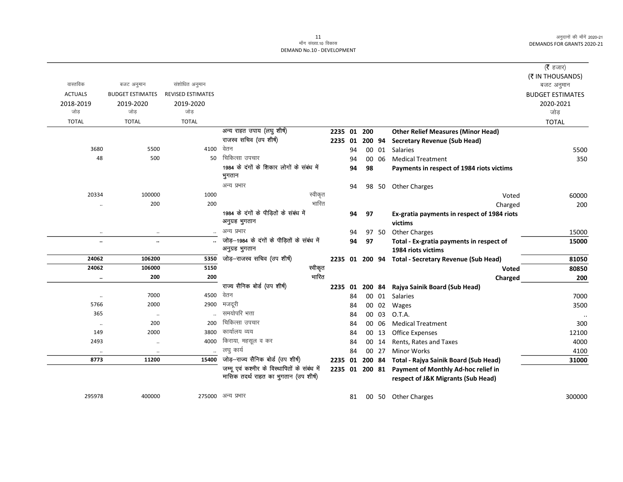### 11 ek¡x l a[;k-10 fodkl DEMAND No.10 - DEVELOPMENT

|                      |                         |                   |                                                     |             |    |    |        |                                                     | ( $\bar{\tau}$ हजार)    |
|----------------------|-------------------------|-------------------|-----------------------------------------------------|-------------|----|----|--------|-----------------------------------------------------|-------------------------|
|                      |                         |                   |                                                     |             |    |    |        |                                                     | (₹ IN THOUSANDS)        |
| वास्तविक             | बजट अनुमान              | संशोधित अनुमान    |                                                     |             |    |    |        |                                                     | बजट अनुमान              |
| <b>ACTUALS</b>       | <b>BUDGET ESTIMATES</b> | REVISED ESTIMATES |                                                     |             |    |    |        |                                                     | <b>BUDGET ESTIMATES</b> |
| 2018-2019            | 2019-2020               | 2019-2020         |                                                     |             |    |    |        |                                                     | 2020-2021               |
| जोड                  | जोड                     | जोड               |                                                     |             |    |    |        |                                                     | जोड                     |
| <b>TOTAL</b>         | <b>TOTAL</b>            | <b>TOTAL</b>      |                                                     |             |    |    |        |                                                     | <b>TOTAL</b>            |
|                      |                         |                   | अन्य राहत उपाय (लघु शीर्ष)                          | 2235 01 200 |    |    |        | <b>Other Relief Measures (Minor Head)</b>           |                         |
|                      |                         |                   | राजस्व सचिव (उप शीर्ष)                              | 2235 01     |    |    | 200 94 | <b>Secretary Revenue (Sub Head)</b>                 |                         |
| 3680                 | 5500                    | 4100              | वेतन                                                |             | 94 |    | 00 01  | Salaries                                            | 5500                    |
| 48                   | 500                     | 50                | चिकित्सा उपचार                                      |             | 94 |    | 00 06  | <b>Medical Treatment</b>                            | 350                     |
|                      |                         |                   | 1984 के दंगों के शिकार लोगों के संबंध में<br>भुगतान |             | 94 | 98 |        | Payments in respect of 1984 riots victims           |                         |
|                      |                         |                   | अन्य प्रभार                                         |             | 94 |    | 98 50  | <b>Other Charges</b>                                |                         |
| 20334                | 100000                  | 1000              | स्वीकृत                                             |             |    |    |        | Voted                                               | 60000                   |
|                      | 200                     | 200               | भारित                                               |             |    |    |        | Charged                                             | 200                     |
|                      |                         |                   | 1984 के दंगों के पीड़ितों के संबंध में              |             | 94 | 97 |        | Ex-gratia payments in respect of 1984 riots         |                         |
|                      |                         |                   | अनुग्रह भुगतान                                      |             |    |    |        | victims                                             |                         |
| $\ddotsc$            | $\cdot\cdot$            |                   | अन्य प्रभार                                         |             | 94 |    | 97 50  | <b>Other Charges</b>                                | 15000                   |
| $\ddot{\phantom{0}}$ | $\ddot{\phantom{a}}$    |                   | जोड़-1984 के दंगों के पीड़ितों के संबंध में         |             | 94 | 97 |        | Total - Ex-gratia payments in respect of            | 15000                   |
|                      |                         |                   | अनुग्रह भुगतान                                      |             |    |    |        | 1984 riots victims                                  |                         |
| 24062                | 106200                  | 5350              | जोड़-राजस्व सचिव (उप शीर्ष)                         |             |    |    |        | 2235 01 200 94 Total - Secretary Revenue (Sub Head) | 81050                   |
| 24062                | 106000                  | 5150              | स्वीकृत                                             |             |    |    |        | Voted                                               | 80850                   |
|                      | 200                     | 200               | भारित                                               |             |    |    |        | Charged                                             | 200                     |
|                      |                         |                   | राज्य सैनिक बोर्ड (उप शीर्ष)                        | 2235 01     |    |    |        | 200 84 Rajya Sainik Board (Sub Head)                |                         |
| $\ddotsc$            | 7000                    | 4500              | वेतन                                                |             | 84 |    | 00 01  | <b>Salaries</b>                                     | 7000                    |
| 5766                 | 2000                    | 2900              | मजदूरी                                              |             | 84 |    | 00 02  | Wages                                               | 3500                    |
| 365                  | $\cdot$                 |                   | समयोपरि भत्ता                                       |             | 84 |    | 00 03  | O.T.A.                                              | $\ddot{\phantom{a}}$    |
|                      | 200                     | 200               | चिकित्सा उपचार                                      |             | 84 |    | 00 06  | <b>Medical Treatment</b>                            | 300                     |
| 149                  | 2000                    | 3800              | कार्यालय व्यय                                       |             | 84 |    | 00 13  | <b>Office Expenses</b>                              | 12100                   |
| 2493                 | $\ldots$                | 4000              | किराया, महसूल व कर                                  |             | 84 | 00 | 14     | Rents, Rates and Taxes                              | 4000                    |
| $\ldots$             | $\cdot\cdot$            | $\ldots$          | लघु कार्य                                           |             | 84 |    | 00 27  | <b>Minor Works</b>                                  | 4100                    |
| 8773                 | 11200                   | 15400             | जोड़-राज्य सैनिक बोर्ड (उप शीर्ष)                   | 2235 01     |    |    |        | 200 84 Total - Rajya Sainik Board (Sub Head)        | 31000                   |
|                      |                         |                   | जम्मू एवं कश्मीर के विस्थापितों के संबंध में        |             |    |    |        | 2235 01 200 81 Payment of Monthly Ad-hoc relief in  |                         |
|                      |                         |                   | मासिक तदर्थ राहत का भुगतान (उप शीर्ष)               |             |    |    |        | respect of J&K Migrants (Sub Head)                  |                         |
| 295978               | 400000                  |                   | 275000 अन्य प्रभार                                  |             | 81 |    |        | 00 50 Other Charges                                 | 300000                  |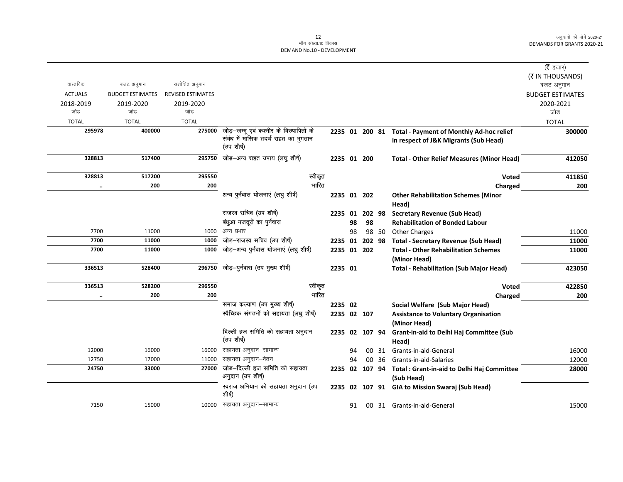|                |                         |                          |                                                                                 |                |    |        |       |                                                           | (रै हजार)               |
|----------------|-------------------------|--------------------------|---------------------------------------------------------------------------------|----------------|----|--------|-------|-----------------------------------------------------------|-------------------------|
|                |                         |                          |                                                                                 |                |    |        |       |                                                           | (₹ IN THOUSANDS)        |
| वास्तविक       | बजट अनुमान              | संशोधित अनुमान           |                                                                                 |                |    |        |       |                                                           | बजट अनुमान              |
| <b>ACTUALS</b> | <b>BUDGET ESTIMATES</b> | <b>REVISED ESTIMATES</b> |                                                                                 |                |    |        |       |                                                           | <b>BUDGET ESTIMATES</b> |
| 2018-2019      | 2019-2020               | 2019-2020                |                                                                                 |                |    |        |       |                                                           | 2020-2021               |
| जोड            | जोड                     | जोड                      |                                                                                 |                |    |        |       |                                                           | जोड                     |
| <b>TOTAL</b>   | <b>TOTAL</b>            | <b>TOTAL</b>             |                                                                                 |                |    |        |       |                                                           | <b>TOTAL</b>            |
| 295978         | 400000                  | 275000                   | जोड़—जम्मू एवं कश्मीर के विस्थापितों के<br>संबंध में मासिक तदर्थ राहत का भुगतान |                |    |        |       | 2235 01 200 81 Total - Payment of Monthly Ad-hoc relief   | 300000                  |
|                |                         |                          | (उप शीर्ष)                                                                      |                |    |        |       | in respect of J&K Migrants (Sub Head)                     |                         |
| 328813         | 517400                  | 295750                   | जोड़-अन्य राहत उपाय (लघु शीर्ष)                                                 | 2235 01 200    |    |        |       | <b>Total - Other Relief Measures (Minor Head)</b>         | 412050                  |
| 328813         | 517200                  | 295550                   | स्वीकृत                                                                         |                |    |        |       | <b>Voted</b>                                              | 411850                  |
| $\ddotsc$      | 200                     | 200                      | भारित                                                                           |                |    |        |       | Charged                                                   | 200                     |
|                |                         |                          | अन्य पुर्नवास योजनाएं (लघु शीर्ष)                                               | 2235 01 202    |    |        |       | <b>Other Rehabilitation Schemes (Minor</b><br>Head)       |                         |
|                |                         |                          | राजस्व सचिव (उप शीर्ष)                                                          | 2235           | 01 | 202 98 |       | <b>Secretary Revenue (Sub Head)</b>                       |                         |
|                |                         |                          | बंधुआ मजदूरों का पुर्नवास                                                       |                | 98 | 98     |       | <b>Rehabilitation of Bonded Labour</b>                    |                         |
| 7700           | 11000                   | 1000                     | अन्य प्रभार                                                                     |                | 98 |        | 98 50 | <b>Other Charges</b>                                      | 11000                   |
| 7700           | 11000                   | 1000                     | जोड़-राजस्व सचिव (उप शीर्ष)                                                     | 2235 01        |    | 202 98 |       | <b>Total - Secretary Revenue (Sub Head)</b>               | 11000                   |
| 7700           | 11000                   | 1000                     | जोड़-अन्य पुर्नवास योजनाएं (लघु शीर्ष)                                          | 2235 01 202    |    |        |       | <b>Total - Other Rehabilitation Schemes</b>               | 11000                   |
|                |                         |                          |                                                                                 |                |    |        |       | (Minor Head)                                              |                         |
| 336513         | 528400                  | 296750                   | जोड़-पुर्नवास (उप मुख्य शीर्ष)                                                  | 2235 01        |    |        |       | <b>Total - Rehabilitation (Sub Major Head)</b>            | 423050                  |
| 336513         | 528200                  | 296550                   | स्वीकृत                                                                         |                |    |        |       | <b>Voted</b>                                              | 422850                  |
| $\ddotsc$      | 200                     | 200                      | भारित                                                                           |                |    |        |       | Charged                                                   | 200                     |
|                |                         |                          | समाज कल्याण (उप मुख्य शीर्ष)                                                    | 2235 02        |    |        |       | Social Welfare (Sub Major Head)                           |                         |
|                |                         |                          | स्वैच्छिक संगठनों को सहायता (लघु शीर्ष)                                         | 2235 02 107    |    |        |       | <b>Assistance to Voluntary Organisation</b>               |                         |
|                |                         |                          |                                                                                 |                |    |        |       | (Minor Head)                                              |                         |
|                |                         |                          | दिल्ली हज समिति को सहायता अनुदान<br>(उप शीर्ष)                                  | 2235           | 02 | 107 94 |       | Grant-in-aid to Delhi Haj Committee (Sub                  |                         |
|                |                         |                          |                                                                                 |                |    |        |       | Head)                                                     |                         |
| 12000<br>12750 | 16000<br>17000          | 16000                    | सहायता अनुदान–सामान्य<br>सहायता अनुदान–वेतन                                     |                | 94 |        |       | 00 31 Grants-in-aid-General                               | 16000                   |
| 24750          | 33000                   | 11000<br>27000           | जोड़–दिल्ली हज समिति को सहायता                                                  | 2235 02 107 94 | 94 |        | 00 36 | Grants-in-aid-Salaries                                    | 12000<br>28000          |
|                |                         |                          | अनुदान (उप शीर्ष)                                                               |                |    |        |       | Total : Grant-in-aid to Delhi Haj Committee<br>(Sub Head) |                         |
|                |                         |                          | स्वराज अभियान को सहायता अनुदान (उप<br>शीर्ष)                                    |                |    |        |       | 2235 02 107 91 GIA to Mission Swaraj (Sub Head)           |                         |
| 7150           | 15000                   |                          | 10000 सहायता अनुदान–सामान्य                                                     |                | 91 |        |       | 00 31 Grants-in-aid-General                               | 15000                   |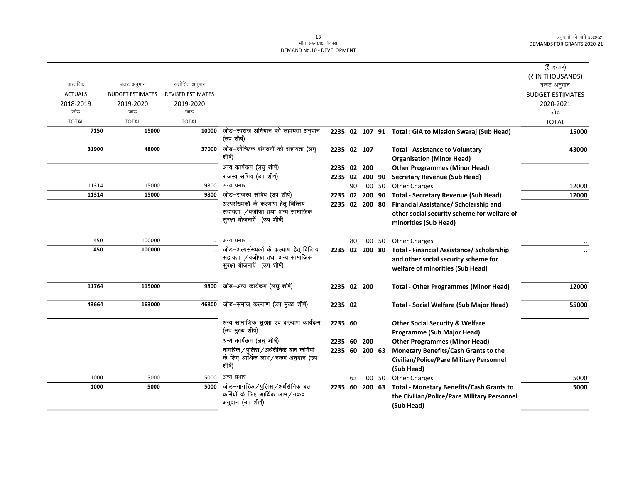|                  |                         |                          |                                                              |                |    |     |       |                                                         | (रै हजार)               |
|------------------|-------------------------|--------------------------|--------------------------------------------------------------|----------------|----|-----|-------|---------------------------------------------------------|-------------------------|
|                  |                         |                          |                                                              |                |    |     |       |                                                         | (₹ IN THOUSANDS)        |
| वास्तविक         | बजट अनुमान              | संशोधित अनुमान           |                                                              |                |    |     |       |                                                         | बजट अनुमान              |
| <b>ACTUALS</b>   | <b>BUDGET ESTIMATES</b> | <b>REVISED ESTIMATES</b> |                                                              |                |    |     |       |                                                         | <b>BUDGET ESTIMATES</b> |
| 2018-2019<br>जोड | 2019-2020<br>जोड        | 2019-2020<br>जोड         |                                                              |                |    |     |       |                                                         | 2020-2021               |
|                  |                         |                          |                                                              |                |    |     |       |                                                         | जोड़                    |
| <b>TOTAL</b>     | <b>TOTAL</b>            | <b>TOTAL</b>             |                                                              |                |    |     |       |                                                         | <b>TOTAL</b>            |
| 7150             | 15000                   | 10000                    | जोड़–स्वराज अभियान को सहायता अनुदान<br>(उप शीर्ष)            |                |    |     |       | 2235 02 107 91 Total : GIA to Mission Swaraj (Sub Head) | 15000                   |
| 31900            | 48000                   | 37000                    | जोड़–स्वैच्छिक संगठनों को सहायता (लघु                        | 2235 02 107    |    |     |       | <b>Total - Assistance to Voluntary</b>                  | 43000                   |
|                  |                         |                          | शीर्ष)                                                       |                |    |     |       | <b>Organisation (Minor Head)</b>                        |                         |
|                  |                         |                          | अन्य कार्यकम (लघु शीर्ष)                                     | 2235 02 200    |    |     |       | <b>Other Programmes (Minor Head)</b>                    |                         |
|                  |                         |                          | राजस्व सचिव (उप शीर्ष)                                       | 2235 02 200 90 |    |     |       | <b>Secretary Revenue (Sub Head)</b>                     |                         |
| 11314            | 15000                   | 9800                     | अन्य प्रभार                                                  |                | 90 |     | 00 50 | <b>Other Charges</b>                                    | 12000                   |
| 11314            | 15000                   | 9800                     | जोड़-राजस्व सचिव (उप शीर्ष)                                  | 2235 02 200 90 |    |     |       | <b>Total - Secretary Revenue (Sub Head)</b>             | 12000                   |
|                  |                         |                          | अल्पसंख्यकों के कल्याण हेतू वित्तिय                          | 2235 02 200 80 |    |     |       | Financial Assistance/ Scholarship and                   |                         |
|                  |                         |                          | सहायता /वजीफा तथा अन्य सामाजिक<br>सुरक्षा योजनाएँ (उप शीर्ष) |                |    |     |       | other social security scheme for welfare of             |                         |
|                  |                         |                          |                                                              |                |    |     |       | minorities (Sub Head)                                   |                         |
| 450              | 100000                  | $\ldots$                 | अन्य प्रभार                                                  |                | 80 |     | 00 50 | <b>Other Charges</b>                                    |                         |
| 450              | 100000                  |                          | जोड़-अल्पसंख्यकों के कल्याण हेतू वित्तिय                     | 2235 02 200 80 |    |     |       | <b>Total - Financial Assistance/ Scholarship</b>        |                         |
|                  |                         |                          | सहायता /वजीफा तथा अन्य सामाजिक                               |                |    |     |       | and other social security scheme for                    |                         |
|                  |                         |                          | सुरक्षा योजनाएँ (उप शीर्ष)                                   |                |    |     |       | welfare of minorities (Sub Head)                        |                         |
| 11764            | 115000                  | 9800                     | जोड़-अन्य कार्यकम (लघु शीर्ष)                                | 2235 02 200    |    |     |       | <b>Total - Other Programmes (Minor Head)</b>            | 12000                   |
| 43664            | 163000                  | 46800                    | जोड़-समाज कल्याण (उप मुख्य शीर्ष)                            | 2235 02        |    |     |       | <b>Total - Social Welfare (Sub Major Head)</b>          | 55000                   |
|                  |                         |                          | अन्य सामाजिक सुरक्षा एंव कल्याण कार्यक्रम                    | 2235 60        |    |     |       | <b>Other Social Security &amp; Welfare</b>              |                         |
|                  |                         |                          | (उप मुख्य शीर्ष)                                             |                |    |     |       | Programme (Sub Major Head)                              |                         |
|                  |                         |                          | अन्य कार्यकम (लघु शीर्ष)                                     | 2235 60        |    | 200 |       | <b>Other Programmes (Minor Head)</b>                    |                         |
|                  |                         |                          | नागरिक / पुलिस / अर्धसैनिक बल कर्मियों                       | 2235 60 200 63 |    |     |       | Monetary Benefits/Cash Grants to the                    |                         |
|                  |                         |                          | के लिए आर्थिक लाभ/नकद अनुदान (उप                             |                |    |     |       | Civilian/Police/Pare Military Personnel                 |                         |
|                  |                         |                          | शीर्ष)                                                       |                |    |     |       | (Sub Head)                                              |                         |
| 1000             | 5000                    | 5000                     | अन्य प्रभार                                                  |                | 63 |     | 00 50 | <b>Other Charges</b>                                    | 5000                    |
| 1000             | 5000                    | 5000                     | जोड़–नागरिक / पुलिस / अर्धसैनिक बल                           | 2235 60 200 63 |    |     |       | <b>Total - Monetary Benefits/Cash Grants to</b>         | 5000                    |
|                  |                         |                          | कर्मियों के लिए आर्थिक लाभ/नकद                               |                |    |     |       | the Civilian/Police/Pare Military Personnel             |                         |
|                  |                         |                          | अनुदान (उप शीर्ष)                                            |                |    |     |       | (Sub Head)                                              |                         |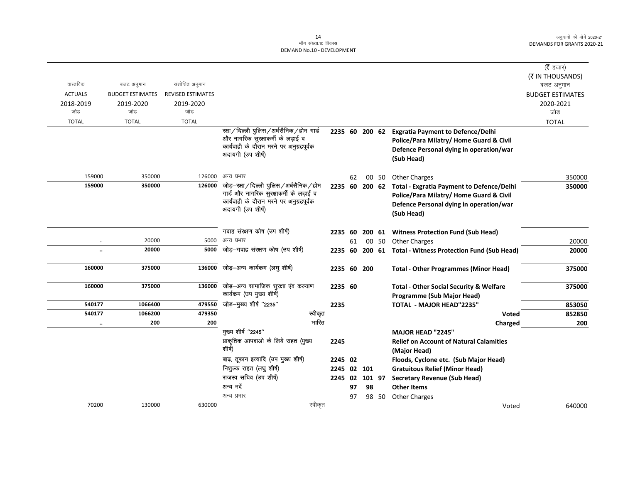|                      |                         |                          |                                                                                                                                              |                        |    |                |       |                                                                                                                                              | ( <b>रै</b> हजार)       |
|----------------------|-------------------------|--------------------------|----------------------------------------------------------------------------------------------------------------------------------------------|------------------------|----|----------------|-------|----------------------------------------------------------------------------------------------------------------------------------------------|-------------------------|
|                      |                         |                          |                                                                                                                                              |                        |    |                |       |                                                                                                                                              | (₹ IN THOUSANDS)        |
| वास्तविक             | बजट अनुमान              | संशोधित अनुमान           |                                                                                                                                              |                        |    |                |       |                                                                                                                                              | बजट अनुमान              |
| <b>ACTUALS</b>       | <b>BUDGET ESTIMATES</b> | <b>REVISED ESTIMATES</b> |                                                                                                                                              |                        |    |                |       |                                                                                                                                              | <b>BUDGET ESTIMATES</b> |
| 2018-2019            | 2019-2020               | 2019-2020                |                                                                                                                                              |                        |    |                |       |                                                                                                                                              | 2020-2021               |
| जोड़                 | जोड                     | जोड                      |                                                                                                                                              |                        |    |                |       |                                                                                                                                              | जोड                     |
| <b>TOTAL</b>         | <b>TOTAL</b>            | <b>TOTAL</b>             |                                                                                                                                              |                        |    |                |       |                                                                                                                                              | <b>TOTAL</b>            |
|                      |                         |                          | रक्षा/दिल्ली पुलिस/अर्धसैनिक/होम गार्ड<br>और नागरिक सुरक्षाकर्मी के लड़ाई व<br>कार्यवाही के दौरान मरने पर अनुग्रहपूर्वक<br>अदायगी (उप शीर्ष) |                        |    | 2235 60 200 62 |       | <b>Exgratia Payment to Defence/Delhi</b><br>Police/Para Milatry/ Home Guard & Civil<br>Defence Personal dying in operation/war<br>(Sub Head) |                         |
| 159000               | 350000                  | 126000                   | अन्य प्रभार                                                                                                                                  |                        | 62 |                |       | 00 50 Other Charges                                                                                                                          | 350000                  |
| 159000               | 350000                  | 126000                   | जोड़—रक्षा/दिल्ली पुलिस/अर्धसैनिक/होम                                                                                                        | 2235 60 200 62         |    |                |       | <b>Total - Exgratia Payment to Defence/Delhi</b>                                                                                             | 350000                  |
|                      |                         |                          | गार्ड और नागरिक सुरक्षाकर्मी के लड़ाई व                                                                                                      |                        |    |                |       | Police/Para Milatry/ Home Guard & Civil                                                                                                      |                         |
|                      |                         |                          | कार्यवाही के दौरान मरने पर अनुग्रहपूर्वक                                                                                                     |                        |    |                |       | Defence Personal dying in operation/war                                                                                                      |                         |
|                      |                         |                          | अदायगी (उप शीर्ष)                                                                                                                            |                        |    |                |       | (Sub Head)                                                                                                                                   |                         |
|                      |                         |                          |                                                                                                                                              |                        |    |                |       |                                                                                                                                              |                         |
|                      |                         |                          | गवाह संरक्षण कोष (उप शीर्ष)                                                                                                                  |                        |    |                |       | 2235 60 200 61 Witness Protection Fund (Sub Head)                                                                                            |                         |
| $\ldots$             | 20000                   | 5000                     | अन्य प्रभार                                                                                                                                  |                        | 61 |                | 00 50 | <b>Other Charges</b>                                                                                                                         | 20000                   |
| $\ddot{\phantom{a}}$ | 20000                   | 5000                     | जोड—गवाह संरक्षण कोष (उप शीर्ष)                                                                                                              |                        |    |                |       | 2235 60 200 61 Total - Witness Protection Fund (Sub Head)                                                                                    | 20000                   |
|                      |                         |                          |                                                                                                                                              |                        |    |                |       |                                                                                                                                              |                         |
| 160000               | 375000                  | 136000                   | जोड़–अन्य कार्यकम (लघु शीर्ष)                                                                                                                | 2235 60 200            |    |                |       | <b>Total - Other Programmes (Minor Head)</b>                                                                                                 | 375000                  |
|                      |                         |                          |                                                                                                                                              |                        |    |                |       |                                                                                                                                              |                         |
| 160000               | 375000                  | 136000                   | जोड़—अन्य सामाजिक सुरक्षा एंव कल्याण<br>कार्यक्रम (उप मुख्य शीर्ष)                                                                           | 2235 60                |    |                |       | <b>Total - Other Social Security &amp; Welfare</b>                                                                                           | 375000                  |
|                      |                         |                          |                                                                                                                                              |                        |    |                |       | Programme (Sub Major Head)                                                                                                                   |                         |
| 540177               | 1066400                 | 479550                   | जोड़—मुख्य शीर्ष "2235"                                                                                                                      | 2235                   |    |                |       | <b>TOTAL - MAJOR HEAD"2235"</b>                                                                                                              | 853050                  |
| 540177               | 1066200                 | 479350                   | स्वीकृत<br>भारित                                                                                                                             |                        |    |                |       | Voted                                                                                                                                        | 852850                  |
| $\ddot{\phantom{a}}$ | 200                     | 200                      | मुख्य शीर्ष "2245"                                                                                                                           |                        |    |                |       | Charged                                                                                                                                      | 200                     |
|                      |                         |                          | प्राकृतिक आपदाओं के लिये राहत (मुख्य                                                                                                         |                        |    |                |       | <b>MAJOR HEAD "2245"</b>                                                                                                                     |                         |
|                      |                         |                          | शीर्ष)                                                                                                                                       | 2245                   |    |                |       | <b>Relief on Account of Natural Calamities</b>                                                                                               |                         |
|                      |                         |                          | बाढ़, तूफान इत्यादि (उप मुख्य शीर्ष)                                                                                                         |                        |    |                |       | (Major Head)                                                                                                                                 |                         |
|                      |                         |                          | निशुल्क राहत (लघु शीर्ष)                                                                                                                     | 2245 02<br>2245 02 101 |    |                |       | Floods, Cyclone etc. (Sub Major Head)                                                                                                        |                         |
|                      |                         |                          | राजस्व सचिव (उप शीर्ष)                                                                                                                       | 2245 02                |    | 101 97         |       | <b>Gratuitous Relief (Minor Head)</b>                                                                                                        |                         |
|                      |                         |                          | अन्य मदें                                                                                                                                    |                        | 97 | 98             |       | <b>Secretary Revenue (Sub Head)</b><br><b>Other Items</b>                                                                                    |                         |
|                      |                         |                          | अन्य प्रभार                                                                                                                                  |                        | 97 |                | 98 50 | <b>Other Charges</b>                                                                                                                         |                         |
| 70200                | 130000                  | 630000                   | स्वीकृत                                                                                                                                      |                        |    |                |       | Voted                                                                                                                                        | 640000                  |
|                      |                         |                          |                                                                                                                                              |                        |    |                |       |                                                                                                                                              |                         |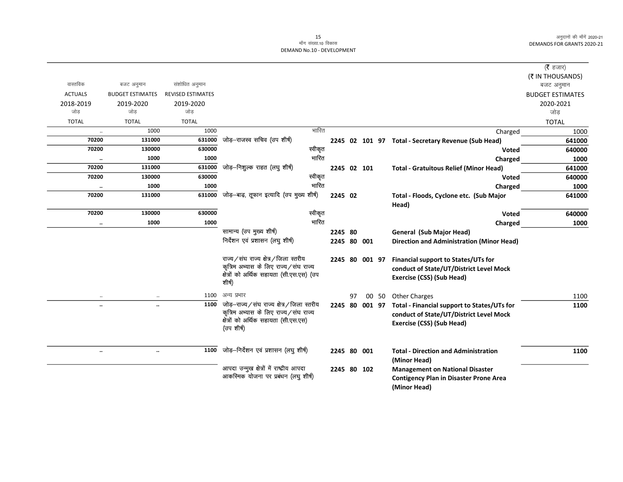$\overline{\phantom{0}}$ 

|                |                         |                          |                                                     |         |                |    |                |       |                                                     | ( $\bar{\tau}$ हजार)    |
|----------------|-------------------------|--------------------------|-----------------------------------------------------|---------|----------------|----|----------------|-------|-----------------------------------------------------|-------------------------|
|                |                         |                          |                                                     |         |                |    |                |       |                                                     | (₹ IN THOUSANDS)        |
| वास्तविक       | बजट अनुमान              | संशोधित अनुमान           |                                                     |         |                |    |                |       |                                                     | बजट अनुमान              |
| <b>ACTUALS</b> | <b>BUDGET ESTIMATES</b> | <b>REVISED ESTIMATES</b> |                                                     |         |                |    |                |       |                                                     | <b>BUDGET ESTIMATES</b> |
| 2018-2019      | 2019-2020               | 2019-2020                |                                                     |         |                |    |                |       |                                                     | 2020-2021               |
| जोड            | जोड                     | जोड                      |                                                     |         |                |    |                |       |                                                     | जोड                     |
| <b>TOTAL</b>   | <b>TOTAL</b>            | <b>TOTAL</b>             |                                                     |         |                |    |                |       |                                                     | <b>TOTAL</b>            |
| $\ldots$       | 1000                    | 1000                     |                                                     | भारित   |                |    |                |       | Charged                                             | 1000                    |
| 70200          | 131000                  | 631000                   | जोड़-राजस्व सचिव (उप शीर्ष)                         |         |                |    |                |       | 2245 02 101 97 Total - Secretary Revenue (Sub Head) | 641000                  |
| 70200          | 130000                  | 630000                   |                                                     | स्वीकृत |                |    |                |       | Voted                                               | 640000                  |
| $\ddotsc$      | 1000                    | 1000                     |                                                     | भारित   |                |    |                |       | Charged                                             | 1000                    |
| 70200          | 131000                  | 631000                   | जोड़–निशुल्क राहत (लघु शीर्ष)                       |         | 2245 02 101    |    |                |       | <b>Total - Gratuitous Relief (Minor Head)</b>       | 641000                  |
| 70200          | 130000                  | 630000                   |                                                     | स्वीकृत |                |    |                |       | Voted                                               | 640000                  |
| $\ddotsc$      | 1000                    | 1000                     |                                                     | भारित   |                |    |                |       | Charged                                             | 1000                    |
| 70200          | 131000                  | 631000                   | जोड़-बाढ़, तूफान इत्यादि (उप मुख्य शीर्ष)           |         | 2245 02        |    |                |       | Total - Floods, Cyclone etc. (Sub Major             | 641000                  |
|                |                         |                          |                                                     |         |                |    |                |       | Head)                                               |                         |
| 70200          | 130000                  | 630000                   |                                                     | स्वीकृत |                |    |                |       | Voted                                               | 640000                  |
| $\ldots$       | 1000                    | 1000                     |                                                     | भारित   |                |    |                |       | Charged                                             | 1000                    |
|                |                         |                          | सामान्य (उप मुख्य शीर्ष)                            |         | 2245 80        |    |                |       | General (Sub Major Head)                            |                         |
|                |                         |                          | निर्देशन एवं प्रशासन (लघु शीर्ष)                    |         |                |    | 2245 80 001    |       | <b>Direction and Administration (Minor Head)</b>    |                         |
|                |                         |                          |                                                     |         |                |    |                |       |                                                     |                         |
|                |                         |                          | राज्य/संघ राज्य क्षेत्र/जिला स्तरीय                 |         |                |    | 2245 80 001 97 |       | Financial support to States/UTs for                 |                         |
|                |                         |                          | कृत्रिम अभ्यास के लिए राज्य/संघ राज्य               |         |                |    |                |       | conduct of State/UT/District Level Mock             |                         |
|                |                         |                          | क्षेत्रों को अर्थिक सहायता (सी.एस.एस) (उप<br>शीर्ष) |         |                |    |                |       | Exercise (CSS) (Sub Head)                           |                         |
|                |                         |                          |                                                     |         |                |    |                |       |                                                     |                         |
| $\ddotsc$      |                         | 1100                     | अन्य प्रभार                                         |         |                | 97 |                | 00 50 | Other Charges                                       | 1100                    |
| $\ldots$       | $\ddotsc$               | 1100                     | जोड़–राज्य ⁄ संघ राज्य क्षेत्र ⁄ जिला स्तरीय        |         | 2245 80 001 97 |    |                |       | Total - Financial support to States/UTs for         | 1100                    |
|                |                         |                          | कृत्रिम अभ्यास के लिए राज्य/संघ राज्य               |         |                |    |                |       | conduct of State/UT/District Level Mock             |                         |
|                |                         |                          | क्षेत्रों को अर्थिक सहायता (सी.एस.एस)               |         |                |    |                |       | Exercise (CSS) (Sub Head)                           |                         |
|                |                         |                          | (उप शीर्ष)                                          |         |                |    |                |       |                                                     |                         |
|                |                         |                          |                                                     |         |                |    |                |       |                                                     |                         |
| $\ddotsc$      | $\ddot{\phantom{a}}$    | 1100                     | जोड़-निर्देशन एवं प्रशासन (लघु शीर्ष)               |         |                |    | 2245 80 001    |       | <b>Total - Direction and Administration</b>         | 1100                    |
|                |                         |                          |                                                     |         |                |    |                |       | (Minor Head)                                        |                         |
|                |                         |                          | आपदा उन्मुख क्षेत्रों में राष्ट्रीय आपदा            |         | 2245 80 102    |    |                |       | <b>Management on National Disaster</b>              |                         |
|                |                         |                          | आकस्मिक योजना पर प्रबंधन (लघु शीर्ष)                |         |                |    |                |       | <b>Contigency Plan in Disaster Prone Area</b>       |                         |
|                |                         |                          |                                                     |         |                |    |                |       | (Minor Head)                                        |                         |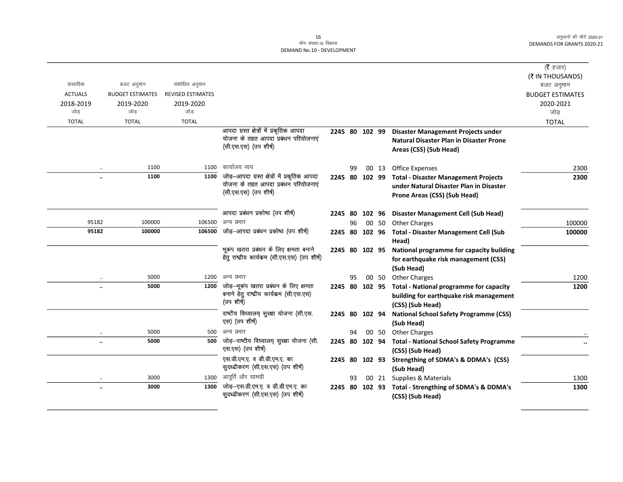|                      |                         |                          |                                                               |                |    |           |       |                                                 | ( $\bar{\tau}$ हजार)                          |
|----------------------|-------------------------|--------------------------|---------------------------------------------------------------|----------------|----|-----------|-------|-------------------------------------------------|-----------------------------------------------|
| वास्तविक             | बजट अनुमान              | संशोधित अनुमान           |                                                               |                |    |           |       |                                                 | (₹ IN THOUSANDS)<br>बजट अनुमान                |
| <b>ACTUALS</b>       | <b>BUDGET ESTIMATES</b> | <b>REVISED ESTIMATES</b> |                                                               |                |    |           |       |                                                 | <b>BUDGET ESTIMATES</b>                       |
| 2018-2019            | 2019-2020               | 2019-2020                |                                                               |                |    |           |       |                                                 | 2020-2021                                     |
| जोड                  | जोड                     | जोड                      |                                                               |                |    |           |       |                                                 | जोड                                           |
| <b>TOTAL</b>         | <b>TOTAL</b>            | <b>TOTAL</b>             |                                                               |                |    |           |       |                                                 | <b>TOTAL</b>                                  |
|                      |                         |                          | आपदा ग्रस्त क्षेत्रों में प्रकृतिक आपदा                       | 2245 80 102 99 |    |           |       | <b>Disaster Management Projects under</b>       |                                               |
|                      |                         |                          | योजना के तहत आपदा प्रबंधन परियोजनाएं                          |                |    |           |       | <b>Natural Disaster Plan in Disaster Prone</b>  |                                               |
|                      |                         |                          | (सी.एस.एस) (उप शीर्ष)                                         |                |    |           |       | Areas (CSS) (Sub Head)                          |                                               |
|                      |                         |                          |                                                               |                |    |           |       |                                                 |                                               |
| $\ddotsc$            | 1100                    | 1100                     | कार्यालय व्यय                                                 |                | 99 |           | 00 13 | Office Expenses                                 | 2300                                          |
|                      | 1100                    | 1100                     | जोड़-आपदा ग्रस्त क्षेत्रों में प्रकृतिक आपदा                  | 2245 80 102 99 |    |           |       | <b>Total - Disaster Management Projects</b>     | 2300                                          |
|                      |                         |                          | योजना के तहत आपदा प्रबंधन परियोजनाएं<br>(सी.एस.एस) (उप शीर्ष) |                |    |           |       | under Natural Disaster Plan in Disaster         |                                               |
|                      |                         |                          |                                                               |                |    |           |       | Prone Areas (CSS) (Sub Head)                    |                                               |
|                      |                         |                          | आपदा प्रबंधन प्रकोष्ठ (उप शीर्ष)                              | 2245 80 102 96 |    |           |       | <b>Disaster Management Cell (Sub Head)</b>      |                                               |
| 95182                | 100000                  | 106500                   | अन्य प्रभार                                                   |                | 96 |           | 00 50 | <b>Other Charges</b>                            | 100000                                        |
| 95182                | 100000                  |                          | 106500 जोड–आपदा प्रबंधन प्रकोष्ठ (उप शीर्ष)                   | 2245 80 102 96 |    |           |       | <b>Total - Disaster Management Cell (Sub</b>    | 100000                                        |
|                      |                         |                          |                                                               |                |    |           |       | Head)                                           |                                               |
|                      |                         |                          | भूकंप खतरा प्रबंधन के लिए क्षमता बनाने                        | 2245 80 102 95 |    |           |       | National programme for capacity building        |                                               |
|                      |                         |                          | हेतू राष्ट्रीय कार्यकम (सी.एस.एस) (उप शीर्ष)                  |                |    |           |       | for earthquake risk management (CSS)            |                                               |
|                      |                         |                          |                                                               |                |    |           |       | (Sub Head)                                      |                                               |
| $\ddotsc$            | 5000                    | 1200                     | अन्य प्रभार                                                   |                | 95 |           | 00 50 | <b>Other Charges</b>                            | 1200                                          |
| $\ddot{\phantom{a}}$ | 5000                    | 1200                     | जोड़—भूकंप खतरा प्रबंधन के लिए क्षमता                         | 2245 80 102 95 |    |           |       | <b>Total - National programme for capacity</b>  | 1200                                          |
|                      |                         |                          | बनाने हेतु राष्ट्रीय कार्यकम (सी.एस.एस)                       |                |    |           |       | building for earthquake risk management         |                                               |
|                      |                         |                          | (उप शीर्ष)                                                    |                |    |           |       | (CSS) (Sub Head)                                |                                               |
|                      |                         |                          | राष्टीय विघ्यालय् सुरक्षा योजना (सी.एस.                       | 2245 80 102 94 |    |           |       | <b>National School Safety Programme (CSS)</b>   |                                               |
|                      |                         |                          | एस) (उप शीर्ष)                                                |                |    |           |       | (Sub Head)                                      |                                               |
| $\ddotsc$            | 5000                    | 500                      | अन्य प्रभार                                                   |                | 94 |           | 00 50 | <b>Other Charges</b>                            |                                               |
| $\ddotsc$            | 5000                    | 500                      | जोड़-राष्टीय विघ्यालय् सुरक्षा योजना (सी.                     | 2245           |    | 80 102 94 |       | <b>Total - National School Safety Programme</b> | $\ddot{\phantom{0}}\phantom{0}\bullet\bullet$ |
|                      |                         |                          | एस.एस) (उप शीर्ष)                                             |                |    |           |       | (CSS) (Sub Head)                                |                                               |
|                      |                         |                          | एस.डी.एम.ए. व डी.डी.एम.ए. का                                  | 2245 80 102 93 |    |           |       | Strengthing of SDMA's & DDMA's (CSS)            |                                               |
|                      |                         |                          | सुदध्ढीकरण (सी.एस.एस) (उप शीर्ष)                              |                |    |           |       | (Sub Head)                                      |                                               |
| $\cdot$              | 3000                    | 1300                     | आपूर्ति और सामग्री                                            |                | 93 |           |       | 00 21 Supplies & Materials                      | 1300                                          |
| $\ddot{\phantom{a}}$ | 3000                    | 1300                     | जोड़-एस.डी.एम.ए. व डी.डी.एम.ए. का                             | 2245 80 102 93 |    |           |       | Total - Strengthing of SDMA's & DDMA's          | 1300                                          |
|                      |                         |                          | सुदध्ढीकरण (सी.एस.एस) (उप शीर्ष)                              |                |    |           |       | (CSS) (Sub Head)                                |                                               |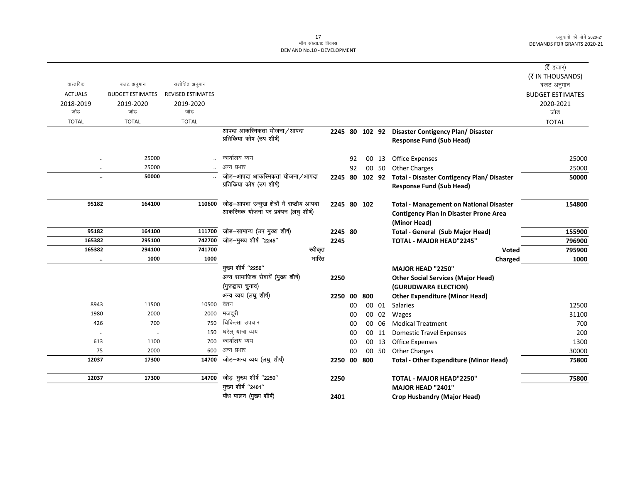|                      |                         |                          | पौध पालन (मुख्य शीर्ष)                                                                | 2401    |    |                |       | <b>Crop Husbandry (Major Head)</b>                                                              |                                |
|----------------------|-------------------------|--------------------------|---------------------------------------------------------------------------------------|---------|----|----------------|-------|-------------------------------------------------------------------------------------------------|--------------------------------|
| 12037                | 17300                   | 14700                    | जोड़-मुख्य शीर्ष "2250"<br>मुख्य शीर्ष "2401"                                         | 2250    |    |                |       | TOTAL - MAJOR HEAD"2250"<br><b>MAJOR HEAD "2401"</b>                                            | 75800                          |
|                      |                         |                          |                                                                                       |         |    |                |       |                                                                                                 |                                |
| 12037                | 17300                   | 14700                    | जोड़–अन्य व्यय (लघु शीर्ष)                                                            |         |    | 2250 00 800    |       | <b>Total - Other Expenditure (Minor Head)</b>                                                   | 75800                          |
| 75                   | 2000                    | 600                      | अन्य प्रभार                                                                           |         | 00 |                | 00 50 | <b>Other Charges</b>                                                                            | 30000                          |
| 613                  | 1100                    | 700                      | कार्यालय व्यय                                                                         |         | 00 |                | 00 13 | Office Expenses                                                                                 | 1300                           |
| $\ddotsc$            | $\ldots$                | 150                      | घरेलू यात्रा व्यय                                                                     |         | 00 |                | 00 11 | <b>Domestic Travel Expenses</b>                                                                 | 200                            |
| 426                  | 700                     | 750                      | चिकित्सा उपचार                                                                        |         | 00 |                | 00 06 | <b>Medical Treatment</b>                                                                        | 700                            |
| 1980                 | 2000                    | 2000                     | मजदूरी                                                                                |         | 00 |                | 00 02 | Wages                                                                                           | 31100                          |
| 8943                 | 11500                   | 10500                    | वेतन                                                                                  |         | 00 |                | 00 01 | Salaries                                                                                        | 12500                          |
|                      |                         |                          | अन्य व्यय (लघु शीर्ष)                                                                 |         |    | 2250 00 800    |       | <b>Other Expenditure (Minor Head)</b>                                                           |                                |
|                      |                         |                          | (गुरूद्वारा चुनाव)                                                                    |         |    |                |       | (GURUDWARA ELECTION)                                                                            |                                |
|                      |                         |                          | अन्य सामाजिक सेवायें (मुख्य शीर्ष)                                                    | 2250    |    |                |       | <b>Other Social Services (Major Head)</b>                                                       |                                |
| $\ddotsc$            |                         |                          | मुख्य शीर्ष "2250"                                                                    |         |    |                |       | MAJOR HEAD "2250"                                                                               |                                |
|                      | 1000                    | 1000                     | भारित                                                                                 |         |    |                |       | Charged                                                                                         | 1000                           |
| 165382               | 294100                  | 741700                   | स्वीकृत                                                                               |         |    |                |       | Voted                                                                                           | 795900                         |
| 165382               | 295100                  | 742700                   | जोड़-मुख्य शीर्ष "2245"                                                               | 2245    |    |                |       | TOTAL - MAJOR HEAD"2245"                                                                        | 796900                         |
| 95182                | 164100                  | 111700                   | जोड़-सामान्य (उप मुख्य शीर्ष)                                                         | 2245 80 |    |                |       | (Minor Head)<br><b>Total - General (Sub Major Head)</b>                                         | 155900                         |
| 95182                | 164100                  | 110600                   | जोड़-आपदा उन्मुख क्षेत्रों में राष्ट्रीय आपदा<br>आकस्मिक योजना पर प्रबंधन (लघु शीर्ष) |         |    | 2245 80 102    |       | <b>Total - Management on National Disaster</b><br><b>Contigency Plan in Disaster Prone Area</b> | 154800                         |
|                      |                         |                          |                                                                                       |         |    |                |       | <b>Response Fund (Sub Head)</b>                                                                 |                                |
| $\ddotsc$            | 50000                   |                          | जोड़–आपदा आकस्मिकता योजना/आपदा<br>प्रतिकिया कोष (उप शीर्ष)                            |         |    | 2245 80 102 92 |       | <b>Total - Disaster Contigency Plan/ Disaster</b>                                               | 50000                          |
| $\ddot{\phantom{a}}$ | 25000                   |                          | अन्य प्रभार                                                                           |         | 92 |                | 00 50 | <b>Other Charges</b>                                                                            | 25000                          |
| $\ddot{\phantom{0}}$ | 25000                   |                          | कार्यालय व्यय                                                                         |         | 92 |                | 00 13 | <b>Office Expenses</b>                                                                          | 25000                          |
|                      |                         |                          | आपदा आकस्मिकता योजना/आपदा<br>प्रतिकिया कोष (उप शीर्ष)                                 |         |    |                |       | 2245 80 102 92 Disaster Contigency Plan/ Disaster<br><b>Response Fund (Sub Head)</b>            |                                |
| <b>TOTAL</b>         | <b>TOTAL</b>            | <b>TOTAL</b>             |                                                                                       |         |    |                |       |                                                                                                 | <b>TOTAL</b>                   |
| जोड                  | जोड                     | जोड                      |                                                                                       |         |    |                |       |                                                                                                 | जोड                            |
| 2018-2019            | 2019-2020               | 2019-2020                |                                                                                       |         |    |                |       |                                                                                                 | 2020-2021                      |
| <b>ACTUALS</b>       | <b>BUDGET ESTIMATES</b> | <b>REVISED ESTIMATES</b> |                                                                                       |         |    |                |       |                                                                                                 | <b>BUDGET ESTIMATES</b>        |
| वास्तविक             | बजट अनुमान              | संशोधित अनुमान           |                                                                                       |         |    |                |       |                                                                                                 | (₹ IN THOUSANDS)<br>बजट अनुमान |
|                      |                         |                          |                                                                                       |         |    |                |       |                                                                                                 | ( <b>रै</b> हजार)              |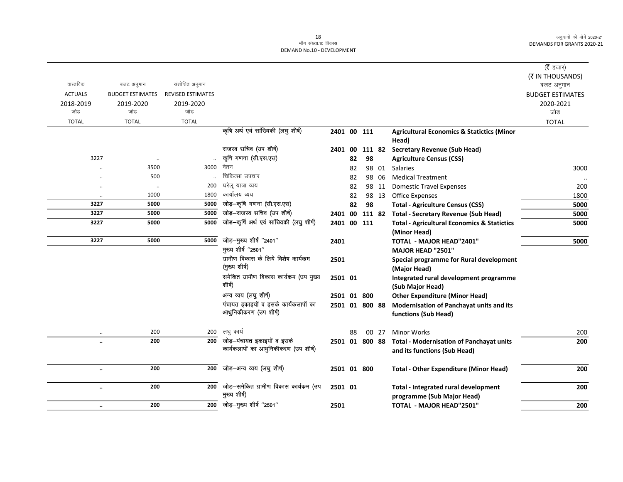|                      |                         |                          |                                                       |                |    |        |        |                                                        | ( $\bar{\tau}$ हजार)    |
|----------------------|-------------------------|--------------------------|-------------------------------------------------------|----------------|----|--------|--------|--------------------------------------------------------|-------------------------|
|                      |                         |                          |                                                       |                |    |        |        |                                                        | (₹ IN THOUSANDS)        |
| वास्तविक             | बजट अनुमान              | संशोधित अनुमान           |                                                       |                |    |        |        |                                                        | बजट अनुमान              |
| <b>ACTUALS</b>       | <b>BUDGET ESTIMATES</b> | <b>REVISED ESTIMATES</b> |                                                       |                |    |        |        |                                                        | <b>BUDGET ESTIMATES</b> |
| 2018-2019            | 2019-2020               | 2019-2020                |                                                       |                |    |        |        |                                                        | 2020-2021               |
| जोड़                 | जोड                     | जोड                      |                                                       |                |    |        |        |                                                        | जोड़                    |
| <b>TOTAL</b>         | <b>TOTAL</b>            | <b>TOTAL</b>             |                                                       |                |    |        |        |                                                        | <b>TOTAL</b>            |
|                      |                         |                          | कृषि अर्थ एवं सांख्यिकी (लघु शीर्ष)                   | 2401 00 111    |    |        |        | <b>Agricultural Economics &amp; Statictics (Minor</b>  |                         |
|                      |                         |                          |                                                       |                |    |        |        | Head)                                                  |                         |
|                      |                         |                          | राजस्व सचिव (उप शीर्ष)                                | 2401 00        |    |        | 111 82 | <b>Secretary Revenue (Sub Head)</b>                    |                         |
| 3227                 | $\ddotsc$               |                          | कृषि गणना (सी.एस.एस)                                  |                | 82 | 98     |        | <b>Agriculture Census (CSS)</b>                        |                         |
|                      | 3500                    | 3000                     | वेतन                                                  |                | 82 |        | 98 01  | Salaries                                               | 3000                    |
|                      | 500                     |                          | चिकित्सा उपचार                                        |                | 82 |        | 98 06  | <b>Medical Treatment</b>                               |                         |
| $\ddotsc$            | $\ddot{\phantom{a}}$    | 200                      | घरेलू यात्रा व्यय                                     |                | 82 |        | 98 11  | <b>Domestic Travel Expenses</b>                        | 200                     |
| $\ldots$             | 1000                    | 1800                     | कार्यालय व्यय                                         |                | 82 |        | 98 13  | Office Expenses                                        | 1800                    |
| 3227                 | 5000                    | 5000                     | जोड़-कृषि गणना (सी.एस.एस)                             |                | 82 | 98     |        | <b>Total - Agriculture Census (CSS)</b>                | 5000                    |
| 3227                 | 5000                    | 5000                     | जोड़-राजस्व सचिव (उप शीर्ष)                           | 2401 00        |    | 111 82 |        | <b>Total - Secretary Revenue (Sub Head)</b>            | 5000                    |
| 3227                 | 5000                    | 5000                     | जोड़-कृषि अर्थ एवं सांख्यिकी (लघु शीर्ष)              | 2401 00 111    |    |        |        | <b>Total - Agricultural Economics &amp; Statictics</b> | 5000                    |
|                      |                         |                          |                                                       |                |    |        |        | (Minor Head)                                           |                         |
| 3227                 | 5000                    | 5000                     | जोड़-मुख्य शीर्ष "2401"                               | 2401           |    |        |        | <b>TOTAL - MAJOR HEAD"2401"</b>                        | 5000                    |
|                      |                         |                          | मुख्य शीर्ष "2501"                                    |                |    |        |        | MAJOR HEAD "2501"                                      |                         |
|                      |                         |                          | ग्रामीण विकास के लिये विशेष कार्यक्रम                 | 2501           |    |        |        | Special programme for Rural development                |                         |
|                      |                         |                          | (मुख्य शीर्ष)                                         |                |    |        |        | (Major Head)                                           |                         |
|                      |                         |                          | समेकित ग्रामीण विकास कार्यक्रम (उप मुख्य              | 2501 01        |    |        |        | Integrated rural development programme                 |                         |
|                      |                         |                          | शीर्ष)                                                |                |    |        |        | (Sub Major Head)                                       |                         |
|                      |                         |                          | अन्य व्यय (लघु शीर्ष)                                 | 2501 01 800    |    |        |        | <b>Other Expenditure (Minor Head)</b>                  |                         |
|                      |                         |                          | पंचायत इकाइयों व इसके कार्यकलापों का                  | 2501 01 800 88 |    |        |        | Modernisation of Panchayat units and its               |                         |
|                      |                         |                          | आधुनिकीकरण (उप शीर्ष)                                 |                |    |        |        | functions (Sub Head)                                   |                         |
|                      |                         |                          |                                                       |                |    |        |        |                                                        |                         |
|                      | 200                     | 200                      | लघु कार्य                                             |                | 88 |        | 00 27  | <b>Minor Works</b>                                     | 200                     |
| $\ddot{\phantom{a}}$ | 200                     | 200                      | जोड़-पंचायत इकाइयों व इसके                            | 2501 01 800 88 |    |        |        | <b>Total - Modernisation of Panchayat units</b>        | 200                     |
|                      |                         |                          | कार्यकलापों का आधुनिकीकरण (उप शीर्ष)                  |                |    |        |        | and its functions (Sub Head)                           |                         |
|                      |                         |                          |                                                       |                |    |        |        |                                                        |                         |
| $\ddotsc$            | 200                     | 200                      | जोड़-अन्य व्यय (लघु शीर्ष)                            | 2501 01 800    |    |        |        | <b>Total - Other Expenditure (Minor Head)</b>          | 200                     |
|                      |                         |                          |                                                       |                |    |        |        |                                                        |                         |
| $\ldots$             | 200                     | 200                      | जोड़-समेकित ग्रामीण विकास कार्यकम (उप<br>मुख्य शीर्ष) | 2501 01        |    |        |        | Total - Integrated rural development                   | 200                     |
|                      |                         |                          |                                                       |                |    |        |        | programme (Sub Major Head)                             |                         |
| $\ddotsc$            | 200                     | 200                      | जोड़-मुख्य शीर्ष "2501"                               | 2501           |    |        |        | TOTAL - MAJOR HEAD"2501"                               | 200                     |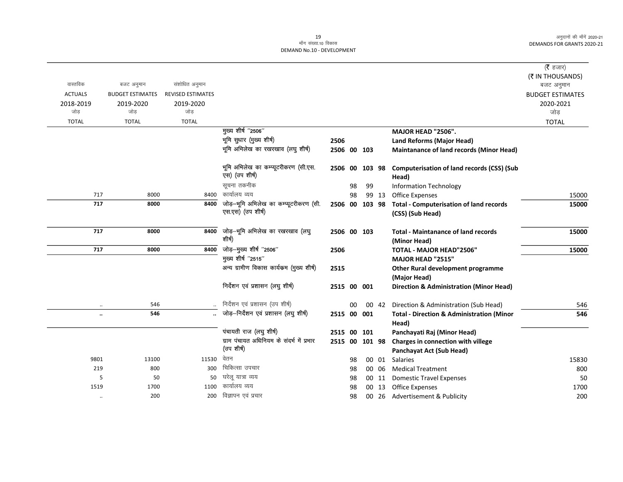|                      |                         |                          |                                                                      |                |    |    |       |                                                      | ( $\bar{\tau}$ हजार)    |
|----------------------|-------------------------|--------------------------|----------------------------------------------------------------------|----------------|----|----|-------|------------------------------------------------------|-------------------------|
|                      |                         |                          |                                                                      |                |    |    |       |                                                      | (₹ IN THOUSANDS)        |
| वास्तविक             | बजट अनुमान              | संशोधित अनुमान           |                                                                      |                |    |    |       |                                                      | बजट अनुमान              |
| <b>ACTUALS</b>       | <b>BUDGET ESTIMATES</b> | <b>REVISED ESTIMATES</b> |                                                                      |                |    |    |       |                                                      | <b>BUDGET ESTIMATES</b> |
| 2018-2019            | 2019-2020               | 2019-2020                |                                                                      |                |    |    |       |                                                      | 2020-2021               |
| जोड                  | जोड                     | जोड                      |                                                                      |                |    |    |       |                                                      | जोड़                    |
| <b>TOTAL</b>         | <b>TOTAL</b>            | <b>TOTAL</b>             |                                                                      |                |    |    |       |                                                      | <b>TOTAL</b>            |
|                      |                         |                          | <b>मुख्य शीर्ष</b> "2506"                                            |                |    |    |       | MAJOR HEAD "2506".                                   |                         |
|                      |                         |                          | भूमि सुधार (मुख्य शीर्ष)                                             | 2506           |    |    |       | <b>Land Reforms (Major Head)</b>                     |                         |
|                      |                         |                          | भूमि अभिलेख का रखरखाव (लघु शीर्ष)                                    | 2506 00 103    |    |    |       | <b>Maintanance of land records (Minor Head)</b>      |                         |
|                      |                         |                          | भूमि अभिलेख का कम्प्यूटरीकरण (सी.एस.                                 | 2506 00 103 98 |    |    |       | <b>Computerisation of land records (CSS) (Sub</b>    |                         |
|                      |                         |                          | एस) (उप शीर्ष)                                                       |                |    |    |       | Head)                                                |                         |
|                      |                         |                          | सूचना तकनीक                                                          |                | 98 | 99 |       | <b>Information Technology</b>                        |                         |
| 717                  | 8000                    | 8400                     | कार्यालय व्यय                                                        |                | 98 |    | 99 13 | Office Expenses                                      | 15000                   |
| 717                  | 8000                    | 8400                     | जोड़-भूमि अभिलेख का कम्प्यूटरीकरण (सी.                               | 2506 00 103 98 |    |    |       | <b>Total - Computerisation of land records</b>       | 15000                   |
|                      |                         |                          | एस.एस) (उप शीर्ष)                                                    |                |    |    |       | (CSS) (Sub Head)                                     |                         |
| 717                  | 8000                    | 8400                     | जोड़—भूमि अभिलेख का रखरखाव (लघु                                      | 2506 00 103    |    |    |       | <b>Total - Maintanance of land records</b>           | 15000                   |
|                      |                         |                          | शीर्ष)                                                               |                |    |    |       | (Minor Head)                                         |                         |
| 717                  | 8000                    | 8400                     | जोड़—मुख्य शीर्ष "2506"                                              | 2506           |    |    |       | TOTAL - MAJOR HEAD"2506"                             | 15000                   |
|                      |                         |                          | मुख्य शीर्ष "2515"                                                   |                |    |    |       | <b>MAJOR HEAD "2515"</b>                             |                         |
|                      |                         |                          | अन्य ग्रामीण विकास कार्यक्रम (मुख्य शीर्ष)                           | 2515           |    |    |       | Other Rural development programme                    |                         |
|                      |                         |                          |                                                                      |                |    |    |       | (Major Head)                                         |                         |
|                      |                         |                          | निर्देशन एवं प्रशासन (लघु शीर्ष)                                     | 2515 00 001    |    |    |       | <b>Direction &amp; Administration (Minor Head)</b>   |                         |
| $\ddotsc$            | 546                     |                          | निर्देशन एवं प्रशासन (उप शीर्ष)                                      |                | 00 |    | 00 42 | Direction & Administration (Sub Head)                | 546                     |
| $\ldots$             | 546                     |                          | जोड़-निर्देशन एवं प्रशासन (लघु शीर्ष)                                | 2515 00 001    |    |    |       | <b>Total - Direction &amp; Administration (Minor</b> | 546                     |
|                      |                         |                          |                                                                      |                |    |    |       | Head)                                                |                         |
|                      |                         |                          | पंचायती राज (लघु शीर्ष)<br>ग्राम पंचायत अधिनियम के संदर्भ में प्रभार | 2515 00 101    |    |    |       | Panchayati Raj (Minor Head)                          |                         |
|                      |                         |                          | (उप शीर्ष)                                                           | 2515 00 101 98 |    |    |       | Charges in connection with villege                   |                         |
|                      |                         |                          |                                                                      |                |    |    |       | Panchayat Act (Sub Head)                             |                         |
| 9801                 | 13100                   | 11530                    | वेतन<br>चिकित्सा उपचार                                               |                | 98 |    | 00 01 | <b>Salaries</b>                                      | 15830                   |
| 219                  | 800                     | 300                      |                                                                      |                | 98 |    | 00 06 | <b>Medical Treatment</b>                             | 800                     |
| 5                    | 50                      | 50                       | घरेलू यात्रा व्यय<br>कार्यालय व्यय                                   |                | 98 |    | 00 11 | <b>Domestic Travel Expenses</b>                      | 50                      |
| 1519                 | 1700                    | 1100                     |                                                                      |                | 98 |    | 00 13 | <b>Office Expenses</b>                               | 1700                    |
| $\ddot{\phantom{a}}$ | 200                     | 200                      | विज्ञापन एवं प्रचार                                                  |                | 98 |    |       | 00 26 Advertisement & Publicity                      | 200                     |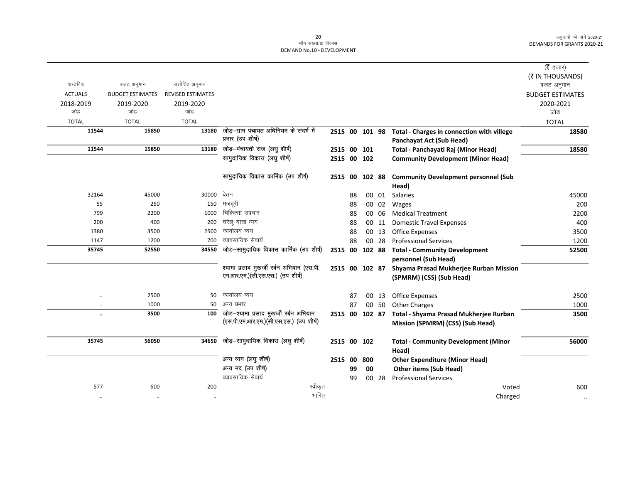|                      |                         |                          |                                            |         |                |       |                                                | ( <b>रै</b> हजार)       |
|----------------------|-------------------------|--------------------------|--------------------------------------------|---------|----------------|-------|------------------------------------------------|-------------------------|
|                      |                         |                          |                                            |         |                |       |                                                | (₹ IN THOUSANDS)        |
| वास्तविक             | बजट अनुमान              | संशोधित अनुमान           |                                            |         |                |       |                                                | बजट अनुमान              |
| <b>ACTUALS</b>       | <b>BUDGET ESTIMATES</b> | <b>REVISED ESTIMATES</b> |                                            |         |                |       |                                                | <b>BUDGET ESTIMATES</b> |
| 2018-2019            | 2019-2020               | 2019-2020                |                                            |         |                |       |                                                | 2020-2021               |
| जोड                  | जोड                     | जोड                      |                                            |         |                |       |                                                | जोड                     |
| <b>TOTAL</b>         | <b>TOTAL</b>            | <b>TOTAL</b>             |                                            |         |                |       |                                                | <b>TOTAL</b>            |
| 11544                | 15850                   | 13180                    | जोड-ग्राम पंचायत अधिनियम के संदर्भ में     |         | 2515 00 101 98 |       | Total - Charges in connection with villege     | 18580                   |
|                      |                         |                          | प्रभार (उप शीर्ष)                          |         |                |       | Panchayat Act (Sub Head)                       |                         |
| 11544                | 15850                   | 13180                    | जोड़-पंचायती राज (लघु शीर्ष)               |         | 2515 00 101    |       | Total - Panchayati Raj (Minor Head)            | 18580                   |
|                      |                         |                          | सामुदायिक विकास (लघु शीर्ष)                |         | 2515 00 102    |       | <b>Community Development (Minor Head)</b>      |                         |
|                      |                         |                          | सामुदायिक विकास कार्मिक (उप शीर्ष)         |         | 2515 00 102 88 |       | <b>Community Development personnel (Sub</b>    |                         |
|                      |                         |                          |                                            |         |                |       | Head)                                          |                         |
| 32164                | 45000                   | 30000                    | वेतन                                       | 88      |                | 00 01 | Salaries                                       | 45000                   |
| 55                   | 250                     | 150                      | मजदूरी                                     | 88      |                | 00 02 | Wages                                          | 200                     |
| 799                  | 2200                    | 1000                     | चिकित्सा उपचार                             | 88      |                | 00 06 | <b>Medical Treatment</b>                       | 2200                    |
| 200                  | 400                     | 200                      | घरेलू यात्रा व्यय                          | 88      |                | 00 11 | <b>Domestic Travel Expenses</b>                | 400                     |
| 1380                 | 3500                    | 2500                     | कार्यालय व्यय                              | 88      |                | 00 13 | <b>Office Expenses</b>                         | 3500                    |
| 1147                 | 1200                    | 700                      | व्यावसायिक सेवायें                         | 88      |                | 00 28 | <b>Professional Services</b>                   | 1200                    |
| 35745                | 52550                   | 34550                    | जोड़-सामुदायिक विकास कार्मिक (उप शीर्ष)    |         | 2515 00 102 88 |       | <b>Total - Community Development</b>           | 52500                   |
|                      |                         |                          |                                            |         |                |       | personnel (Sub Head)                           |                         |
|                      |                         |                          | श्यामा प्रसाद मुखर्जी रर्बन अभियान (एस.पी. |         | 2515 00 102 87 |       | Shyama Prasad Mukherjee Rurban Mission         |                         |
|                      |                         |                          | एम.आर.एम.)(सी.एस.एस.) (उप शीर्ष)           |         |                |       | (SPMRM) (CSS) (Sub Head)                       |                         |
| $\ddotsc$            | 2500                    | 50                       | कार्यालय व्यय                              | 87      |                | 00 13 | <b>Office Expenses</b>                         | 2500                    |
| $\ddotsc$            | 1000                    | 50                       | अन्य प्रभार                                | 87      |                | 00 50 | <b>Other Charges</b>                           | 1000                    |
| $\ddot{\phantom{a}}$ | 3500                    | 100                      | जोड़-श्यामा प्रसाद मुखर्जी रर्बन अभियान    |         | 2515 00 102 87 |       | Total - Shyama Prasad Mukherjee Rurban         | 3500                    |
|                      |                         |                          | (एस.पी.एम.आर.एम.)(सी.एस.एस.) (उप शीर्ष)    |         |                |       | Mission (SPMRM) (CSS) (Sub Head)               |                         |
|                      |                         |                          |                                            |         |                |       |                                                |                         |
| 35745                | 56050                   | 34650                    | जोड़-सामुदायिक विकास (लघु शीर्ष)           |         | 2515 00 102    |       | <b>Total - Community Development (Minor</b>    | 56000                   |
|                      |                         |                          | अन्य व्यय (लघु शीर्ष)                      | 2515 00 | 800            |       | Head)<br><b>Other Expenditure (Minor Head)</b> |                         |
|                      |                         |                          | अन्य मद (उप शीर्ष)                         | 99      | 00             |       | <b>Other items (Sub Head)</b>                  |                         |
|                      |                         |                          | व्यावसायिक सेवायें                         | 99      |                | 00 28 | <b>Professional Services</b>                   |                         |
| 577                  | 600                     | 200                      | स्वीकृत                                    |         |                |       | Voted                                          | 600                     |
| $\ddotsc$            | $\cdot\cdot$            | $\ddotsc$                | भारित                                      |         |                |       | Charged                                        | $\ldots$                |
|                      |                         |                          |                                            |         |                |       |                                                |                         |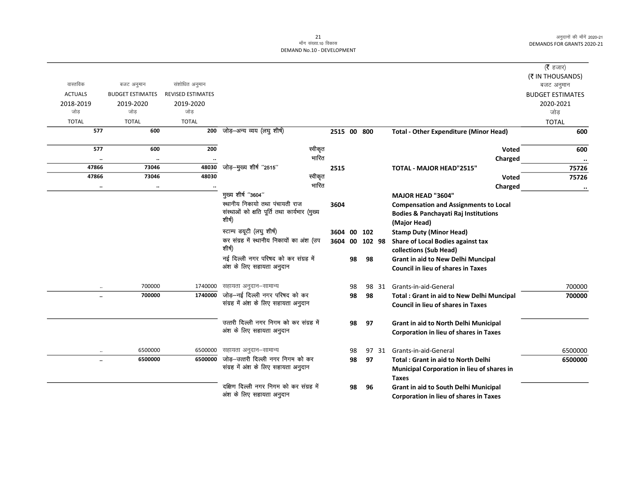| ( $\bar{\tau}$ हजार)    |                                                             |       |        |    |             |                                                                                |                          |                         |                      |
|-------------------------|-------------------------------------------------------------|-------|--------|----|-------------|--------------------------------------------------------------------------------|--------------------------|-------------------------|----------------------|
| (₹ IN THOUSANDS)        |                                                             |       |        |    |             |                                                                                |                          |                         |                      |
| बजट अनुमान              |                                                             |       |        |    |             |                                                                                | संशोधित अनुमान           | बजट अनुमान              | वास्तविक             |
| <b>BUDGET ESTIMATES</b> |                                                             |       |        |    |             |                                                                                | <b>REVISED ESTIMATES</b> | <b>BUDGET ESTIMATES</b> | <b>ACTUALS</b>       |
| 2020-2021               |                                                             |       |        |    |             |                                                                                | 2019-2020                | 2019-2020               | 2018-2019            |
| जोड                     |                                                             |       |        |    |             |                                                                                | जोड                      | जोड                     | जोड                  |
| <b>TOTAL</b>            |                                                             |       |        |    |             |                                                                                | <b>TOTAL</b>             | <b>TOTAL</b>            | <b>TOTAL</b>         |
| 600                     | <b>Total - Other Expenditure (Minor Head)</b>               |       |        |    | 2515 00 800 | 200 जोड़-अन्य व्यय (लघु शीर्ष)                                                 |                          | 600                     | 577                  |
| 600                     | <b>Voted</b>                                                |       |        |    |             | स्वीकृत                                                                        | 200                      | 600                     | 577                  |
|                         | Charged                                                     |       |        |    |             | भारित                                                                          |                          |                         | $\ddot{\phantom{0}}$ |
| 75726                   | <b>TOTAL - MAJOR HEAD"2515"</b>                             |       |        |    | 2515        | जोड़—मुख्य शीर्ष "2515"                                                        | 48030                    | 73046                   | 47866                |
| 75726                   | Voted                                                       |       |        |    |             | स्वीकृत                                                                        | 48030                    | 73046                   | 47866                |
| $\ddot{\phantom{a}}$    | Charged                                                     |       |        |    |             | भारित                                                                          |                          | $\cdot\cdot$            |                      |
|                         | <b>MAJOR HEAD "3604"</b>                                    |       |        |    |             | मुख्य शीर्ष "3604"                                                             |                          |                         |                      |
|                         | <b>Compensation and Assignments to Local</b>                |       |        |    | 3604        | स्थानीय निकायो तथा पंचायती राज<br>संस्थाओं को क्षति पूर्ति तथा कार्यभार (मुख्य |                          |                         |                      |
|                         | <b>Bodies &amp; Panchayati Raj Institutions</b>             |       |        |    |             | शीर्ष)                                                                         |                          |                         |                      |
|                         | (Major Head)                                                |       |        |    |             | स्टाम्प डयूटी (लघु शीर्ष)                                                      |                          |                         |                      |
|                         | <b>Stamp Duty (Minor Head)</b>                              |       | 102    |    | 3604 00     | कर संग्रह में स्थानीय निकायों का अंश (उप                                       |                          |                         |                      |
|                         | Share of Local Bodies against tax<br>collections (Sub Head) |       | 102 98 | 00 | 3604        | शीर्ष)                                                                         |                          |                         |                      |
|                         | Grant in aid to New Delhi Muncipal                          |       | 98     | 98 |             | नई दिल्ली नगर परिषद को कर संग्रह में                                           |                          |                         |                      |
|                         | <b>Council in lieu of shares in Taxes</b>                   |       |        |    |             | अंश के लिए सहायता अनुदान                                                       |                          |                         |                      |
|                         |                                                             |       |        |    |             |                                                                                |                          |                         |                      |
| 700000                  | Grants-in-aid-General                                       | 98 31 |        | 98 |             | सहायता अनुदान–सामान्य                                                          | 1740000                  | 700000                  |                      |
| 700000                  | <b>Total: Grant in aid to New Delhi Muncipal</b>            |       | 98     | 98 |             | जोड़-नई दिल्ली नगर परिषद को कर                                                 | 1740000                  | 700000                  | $\ddot{\phantom{a}}$ |
|                         | <b>Council in lieu of shares in Taxes</b>                   |       |        |    |             | संग्रह में अंश के लिए सहायता अनुदान                                            |                          |                         |                      |
|                         | Grant in aid to North Delhi Municipal                       |       | 97     | 98 |             | उत्तरी दिल्ली नगर निगम को कर संग्रह में                                        |                          |                         |                      |
|                         | Corporation in lieu of shares in Taxes                      |       |        |    |             | अंश के लिए सहायता अनुदान                                                       |                          |                         |                      |
| 6500000                 | Grants-in-aid-General                                       | 97 31 |        | 98 |             | सहायता अनुदान–सामान्य                                                          | 6500000                  | 6500000                 | $\cdot$              |
| 6500000                 | <b>Total: Grant in aid to North Delhi</b>                   |       | 97     | 98 |             | जोड़-उत्तरी दिल्ली नगर निगम को कर                                              | 6500000                  | 6500000                 | $\ddot{\phantom{a}}$ |
|                         | Municipal Corporation in lieu of shares in                  |       |        |    |             | संग्रह में अंश के लिए सहायता अनुदान                                            |                          |                         |                      |
|                         | <b>Taxes</b>                                                |       |        |    |             |                                                                                |                          |                         |                      |
|                         | Grant in aid to South Delhi Municipal                       |       | 96     | 98 |             | दक्षिण दिल्ली नगर निगम को कर संग्रह में                                        |                          |                         |                      |
|                         | Corporation in lieu of shares in Taxes                      |       |        |    |             | अंश के लिए सहायता अनुदान                                                       |                          |                         |                      |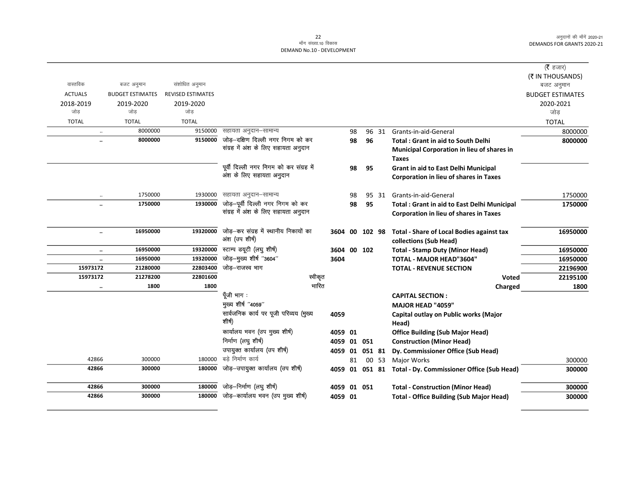|                |                                 |                          |                                                         |             |    |             |       |                                                      | (रै हजार)               |
|----------------|---------------------------------|--------------------------|---------------------------------------------------------|-------------|----|-------------|-------|------------------------------------------------------|-------------------------|
|                |                                 |                          |                                                         |             |    |             |       |                                                      | (₹ IN THOUSANDS)        |
| वास्तविक       | बजट अनुमान                      | संशोधित अनुमान           |                                                         |             |    |             |       |                                                      | बजट अनुमान              |
| <b>ACTUALS</b> | <b>BUDGET ESTIMATES</b>         | <b>REVISED ESTIMATES</b> |                                                         |             |    |             |       |                                                      | <b>BUDGET ESTIMATES</b> |
| 2018-2019      | 2019-2020                       | 2019-2020                |                                                         |             |    |             |       |                                                      | 2020-2021               |
| जोड            | जोड                             | जोड                      |                                                         |             |    |             |       |                                                      | जोड                     |
| <b>TOTAL</b>   | <b>TOTAL</b>                    | <b>TOTAL</b>             |                                                         |             |    |             |       |                                                      | <b>TOTAL</b>            |
|                | 8000000<br>$\ddotsc$            | 9150000                  | सहायता अनुदान–सामान्य                                   |             | 98 |             | 96 31 | Grants-in-aid-General                                | 8000000                 |
|                | 8000000<br>$\ddot{\phantom{a}}$ | 9150000                  | जोड़-दक्षिण दिल्ली नगर निगम को कर                       |             | 98 | 96          |       | <b>Total: Grant in aid to South Delhi</b>            | 8000000                 |
|                |                                 |                          | संग्रह में अंश के लिए सहायता अनुदान                     |             |    |             |       | Municipal Corporation in lieu of shares in           |                         |
|                |                                 |                          |                                                         |             |    |             |       | <b>Taxes</b>                                         |                         |
|                |                                 |                          | पूर्वी दिल्ली नगर निगम को कर संग्रह में                 |             | 98 | 95          |       | Grant in aid to East Delhi Municipal                 |                         |
|                |                                 |                          | अंश के लिए सहायता अनुदान                                |             |    |             |       | <b>Corporation in lieu of shares in Taxes</b>        |                         |
|                |                                 |                          |                                                         |             |    |             |       |                                                      |                         |
|                | 1750000<br>$\ddotsc$            | 1930000                  | सहायता अनुदान–सामान्य                                   |             | 98 |             | 95 31 | Grants-in-aid-General                                | 1750000                 |
|                | 1750000<br>                     | 1930000                  | जोड़-पूर्वी दिल्ली नगर निगम को कर                       |             | 98 | 95          |       | <b>Total: Grant in aid to East Delhi Municipal</b>   | 1750000                 |
|                |                                 |                          | संग्रह में अंश के लिए सहायता अनुदान                     |             |    |             |       | Corporation in lieu of shares in Taxes               |                         |
|                |                                 |                          |                                                         |             |    |             |       |                                                      |                         |
|                | 16950000<br>$\ddotsc$           | 19320000                 | जोड़-कर संग्रह में स्थानीय निकायों का<br>अंश (उप शीर्ष) | 3604        |    | 00 102 98   |       | <b>Total - Share of Local Bodies against tax</b>     | 16950000                |
|                |                                 |                          |                                                         |             |    |             |       | collections (Sub Head)                               |                         |
|                | 16950000<br>$\ddotsc$           | 19320000                 | स्टाम्प डयूटी (लघु शीर्ष)                               | 3604        |    | 00 102      |       | <b>Total - Stamp Duty (Minor Head)</b>               | 16950000                |
|                | 16950000<br>$\ddotsc$           | 19320000                 | जोड़-मुख्य शीर्ष "3604"                                 | 3604        |    |             |       | <b>TOTAL - MAJOR HEAD"3604"</b>                      | 16950000                |
| 15973172       | 21280000                        | 22803400                 | जोड़-राजस्व भाग                                         |             |    |             |       | <b>TOTAL - REVENUE SECTION</b>                       | 22196900                |
| 15973172       | 21278200                        | 22801600                 | स्वीकृत                                                 |             |    |             |       | <b>Voted</b>                                         | 22195100                |
|                | 1800<br>                        | 1800                     | भारित                                                   |             |    |             |       | Charged                                              | 1800                    |
|                |                                 |                          | पूँजी भाग :<br>मुख्य शीर्ष "4059"                       |             |    |             |       | <b>CAPITAL SECTION:</b>                              |                         |
|                |                                 |                          | सार्वजनिक कार्य पर पूजी परिव्यय (मुख्य                  |             |    |             |       | MAJOR HEAD "4059"                                    |                         |
|                |                                 |                          | शीर्ष)                                                  | 4059        |    |             |       | Capital outlay on Public works (Major                |                         |
|                |                                 |                          | कार्यालय भवन (उप मुख्य शीर्ष)                           |             |    |             |       | Head)                                                |                         |
|                |                                 |                          | निर्माण (लघु शीर्ष)                                     | 4059 01     |    |             |       | <b>Office Building (Sub Major Head)</b>              |                         |
|                |                                 |                          | उपायुक्त कार्यालय (उप शीर्ष)                            | 4059 01 051 |    |             |       | <b>Construction (Minor Head)</b>                     |                         |
| 42866          | 300000                          | 180000                   | बडे निर्माण कार्य                                       | 4059 01     |    | 051 81      |       | Dy. Commissioner Office (Sub Head)                   |                         |
| 42866          | 300000                          | 180000                   | जोड़-उपायुक्त कार्यालय (उप शीर्ष)                       |             | 81 |             | 00 53 | <b>Major Works</b>                                   | 300000                  |
|                |                                 |                          |                                                         | 4059        |    |             |       | 01 051 81 Total - Dy. Commissioner Office (Sub Head) | 300000                  |
| 42866          | 300000                          | 180000                   | जोड़–निर्माण (लघु शीर्ष)                                |             |    | 4059 01 051 |       | <b>Total - Construction (Minor Head)</b>             | 300000                  |
| 42866          | 300000                          | 180000                   | जोड़-कार्यालय भवन (उप मुख्य शीर्ष)                      | 4059 01     |    |             |       | <b>Total - Office Building (Sub Major Head)</b>      | 300000                  |
|                |                                 |                          |                                                         |             |    |             |       |                                                      |                         |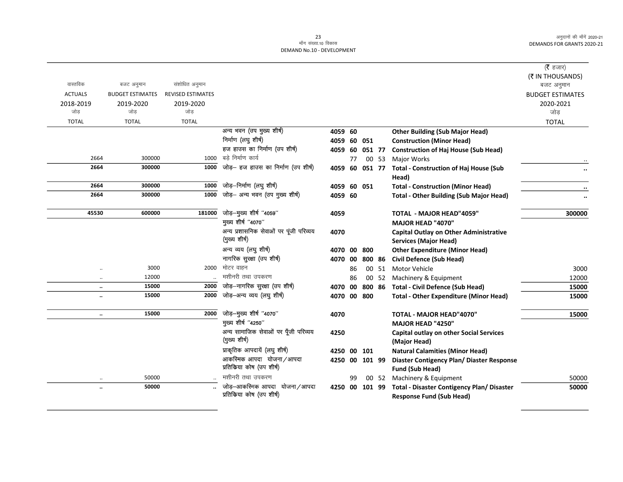|                      |                         |                          |                                        |             |    |        |       |                                                        | ( $\bar{\tau}$ हजार)<br>(₹ IN THOUSANDS) |
|----------------------|-------------------------|--------------------------|----------------------------------------|-------------|----|--------|-------|--------------------------------------------------------|------------------------------------------|
| वास्तविक             | बजट अनुमान              | संशोधित अनुमान           |                                        |             |    |        |       |                                                        | बजट अनुमान                               |
| <b>ACTUALS</b>       | <b>BUDGET ESTIMATES</b> | <b>REVISED ESTIMATES</b> |                                        |             |    |        |       |                                                        | <b>BUDGET ESTIMATES</b>                  |
| 2018-2019            | 2019-2020               | 2019-2020                |                                        |             |    |        |       |                                                        | 2020-2021                                |
| जोड                  | जोड                     | जोड                      |                                        |             |    |        |       |                                                        | जोड                                      |
| <b>TOTAL</b>         | <b>TOTAL</b>            | <b>TOTAL</b>             |                                        |             |    |        |       |                                                        | <b>TOTAL</b>                             |
|                      |                         |                          | अन्य भवन (उप मुख्य शीर्ष)              | 4059 60     |    |        |       | <b>Other Building (Sub Major Head)</b>                 |                                          |
|                      |                         |                          | निर्माण (लघु शीर्ष)                    | 4059 60 051 |    |        |       | <b>Construction (Minor Head)</b>                       |                                          |
|                      |                         |                          | हज हाउस का निर्माण (उप शीर्ष)          | 4059 60     |    | 051 77 |       | <b>Construction of Haj House (Sub Head)</b>            |                                          |
| 2664                 | 300000                  | 1000                     | बड़े निर्माण कार्य                     |             | 77 |        | 00 53 | <b>Major Works</b>                                     |                                          |
| 2664                 | 300000                  | 1000                     | जोड़– हज हाउस का निर्माण (उप शीर्ष)    | 4059 60     |    | 051 77 |       | <b>Total - Construction of Haj House (Sub</b><br>Head) | $\ddot{\phantom{0}}$                     |
| 2664                 | 300000                  | 1000                     | जोड़–निर्माण (लघु शीर्ष)               | 4059 60 051 |    |        |       | <b>Total - Construction (Minor Head)</b>               |                                          |
| 2664                 | 300000                  | 1000                     | जोड़- अन्य भवन (उप मुख्य शीर्ष)        | 4059 60     |    |        |       | <b>Total - Other Building (Sub Major Head)</b>         |                                          |
| 45530                | 600000                  | 181000                   | जोड़-मुख्य शीर्ष "4059"                | 4059        |    |        |       | <b>TOTAL - MAJOR HEAD"4059"</b>                        | 300000                                   |
|                      |                         |                          | मुख्य शीर्ष "4070"                     |             |    |        |       | MAJOR HEAD "4070"                                      |                                          |
|                      |                         |                          | अन्य प्रशासनिक सेवाओं पर पूंजी परिव्यय | 4070        |    |        |       | <b>Capital Outlay on Other Administrative</b>          |                                          |
|                      |                         |                          | (मुख्य शीर्ष)                          |             |    |        |       | <b>Services (Major Head)</b>                           |                                          |
|                      |                         |                          | अन्य व्यय (लघु शीर्ष)                  | 4070 00     |    | 800    |       | <b>Other Expenditure (Minor Head)</b>                  |                                          |
|                      |                         |                          | नागरिक सुरक्षा (उप शीर्ष)              | 4070 00     |    | 800 86 |       | <b>Civil Defence (Sub Head)</b>                        |                                          |
|                      | 3000                    | 2000                     | मोटर वाहन                              |             | 86 |        | 00 51 | <b>Motor Vehicle</b>                                   | 3000                                     |
| $\ddotsc$            | 12000                   |                          | मशीनरी तथा उपकरण                       |             | 86 | 00     | 52    | Machinery & Equipment                                  | 12000                                    |
| $\ddotsc$            | 15000                   | 2000                     | जोड़-नागरिक सुरक्षा (उप शीर्ष)         | 4070 00     |    | 800 86 |       | <b>Total - Civil Defence (Sub Head)</b>                | 15000                                    |
|                      | 15000                   | 2000                     | जोड–अन्य व्यय (लघु शीर्ष)              | 4070 00     |    | 800    |       | <b>Total - Other Expenditure (Minor Head)</b>          | 15000                                    |
| $\ddot{\phantom{a}}$ | 15000                   | 2000                     | जोड़-मुख्य शीर्ष "4070"                | 4070        |    |        |       | TOTAL - MAJOR HEAD"4070"                               | 15000                                    |
|                      |                         |                          | मुख्य शीर्ष "4250"                     |             |    |        |       | MAJOR HEAD "4250"                                      |                                          |
|                      |                         |                          | अन्य सामाजिक सेवाओं पर पूँजी परिव्यय   | 4250        |    |        |       | <b>Capital outlay on other Social Services</b>         |                                          |
|                      |                         |                          | (मुख्य शीर्ष)                          |             |    |        |       | (Major Head)                                           |                                          |
|                      |                         |                          | प्राकृतिक आपदायें (लघु शीर्ष)          | 4250 00     |    | 101    |       | <b>Natural Calamities (Minor Head)</b>                 |                                          |
|                      |                         |                          | आकस्मिक आपदा योजना/आपदा                | 4250 00     |    | 101 99 |       | Diaster Contigency Plan/ Diaster Response              |                                          |
|                      |                         |                          | प्रतिकिया कोष (उप शीर्ष)               |             |    |        |       | Fund (Sub Head)                                        |                                          |
|                      | 50000                   |                          | मशीनरी तथा उपकरण                       |             | 99 |        | 00 52 | Machinery & Equipment                                  | 50000                                    |
|                      | 50000                   |                          | जोड़-आकस्मिक आपदा योजना/आपदा           | 4250 00     |    | 101 99 |       | <b>Total - Disaster Contigency Plan/ Disaster</b>      | 50000                                    |
|                      |                         |                          | प्रतिकिया कोष (उप शीर्ष)               |             |    |        |       | <b>Response Fund (Sub Head)</b>                        |                                          |